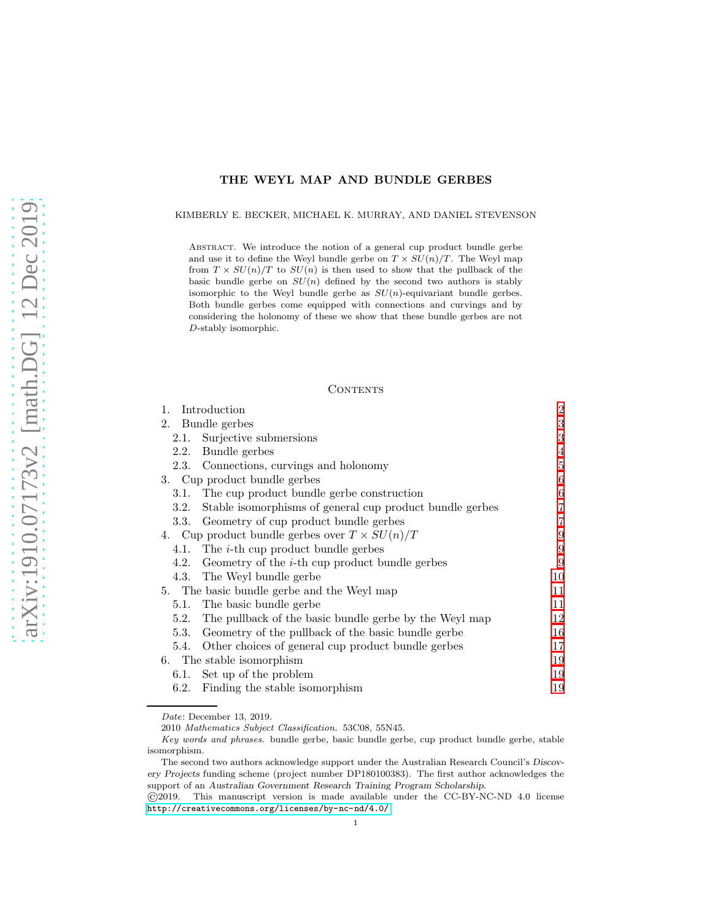# THE WEYL MAP AND BUNDLE GERBES

KIMBERLY E. BECKER, MICHAEL K. MURRAY, AND DANIEL STEVENSON

Abstract. We introduce the notion of a general cup product bundle gerbe and use it to define the Weyl bundle gerbe on  $T \times SU(n)/T$ . The Weyl map from  $T \times SU(n)/T$  to  $SU(n)$  is then used to show that the pullback of the basic bundle gerbe on  $SU(n)$  defined by the second two authors is stably isomorphic to the Weyl bundle gerbe as  $SU(n)$ -equivariant bundle gerbes. Both bundle gerbes come equipped with connections and curvings and by considering the holonomy of these we show that these bundle gerbes are not D-stably isomorphic.

### CONTENTS

| 1.                                                   | Introduction                                             | $\overline{2}$ |
|------------------------------------------------------|----------------------------------------------------------|----------------|
|                                                      | 2. Bundle gerbes                                         | 3              |
|                                                      | 2.1. Surjective submersions                              | 3              |
| 2.2.                                                 | Bundle gerbes                                            | $\overline{4}$ |
|                                                      | 2.3. Connections, curvings and holonomy                  | 5              |
|                                                      | 3. Cup product bundle gerbes                             | 6              |
|                                                      | 3.1. The cup product bundle gerbe construction           | 6              |
| 3.2.                                                 | Stable isomorphisms of general cup product bundle gerbes | 7              |
|                                                      | 3.3. Geometry of cup product bundle gerbes               | $\overline{7}$ |
| 4. Cup product bundle gerbes over $T \times SU(n)/T$ |                                                          | 9              |
|                                                      | 4.1. The <i>i</i> -th cup product bundle gerbes          | 9              |
|                                                      | 4.2. Geometry of the $i$ -th cup product bundle gerbes   | 9              |
|                                                      | 4.3. The Weyl bundle gerbe                               | 10             |
| 5. The basic bundle gerbe and the Weyl map           |                                                          | 11             |
|                                                      | 5.1. The basic bundle gerbe                              | 11             |
| 5.2.                                                 | The pullback of the basic bundle gerbe by the Weyl map   | 12             |
|                                                      | 5.3. Geometry of the pullback of the basic bundle gerbe  | 16             |
|                                                      | 5.4. Other choices of general cup product bundle gerbes  | 17             |
|                                                      | 6. The stable isomorphism                                | 19             |
|                                                      | 6.1. Set up of the problem                               | 19             |
|                                                      | 6.2. Finding the stable isomorphism                      | 19             |

Date: December 13, 2019.

2010 Mathematics Subject Classification. 53C08, 55N45.

Key words and phrases. bundle gerbe, basic bundle gerbe, cup product bundle gerbe, stable isomorphism.

The second two authors acknowledge support under the Australian Research Council's Discovery Projects funding scheme (project number DP180100383). The first author acknowledges the support of an Australian Government Research Training Program Scholarship.

<sup>©</sup>2019. This manuscript version is made available under the CC-BY-NC-ND 4.0 license <http://creativecommons.org/licenses/by-nc-nd/4.0/>.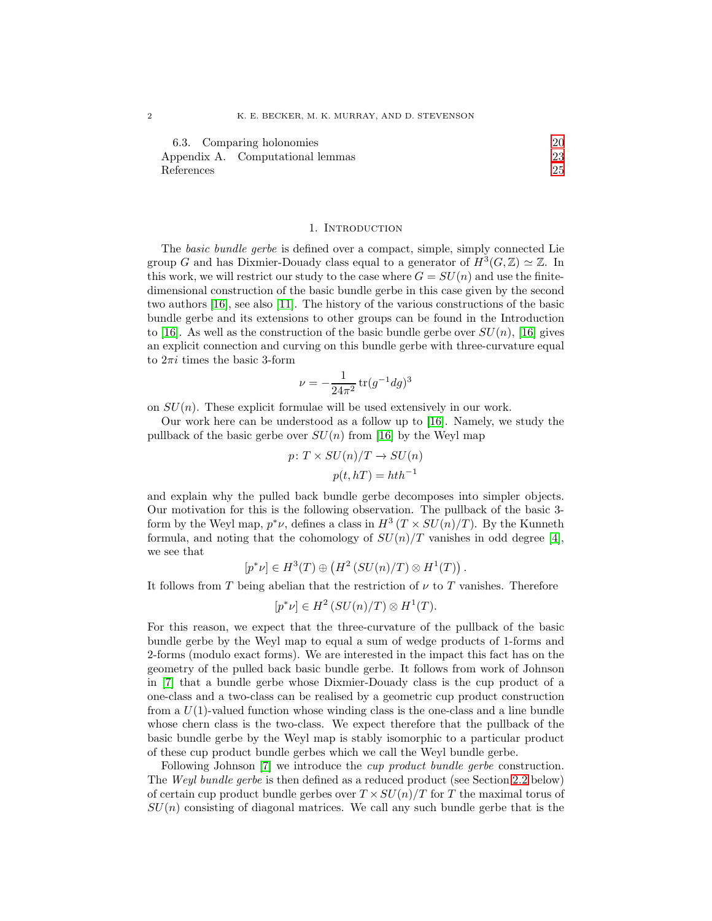| 6.3. Comparing holonomies        | 20 |
|----------------------------------|----|
| Appendix A. Computational lemmas | 23 |
| References                       | 25 |

#### 1. INTRODUCTION

<span id="page-1-0"></span>The basic bundle gerbe is defined over a compact, simple, simply connected Lie group G and has Dixmier-Douady class equal to a generator of  $H^3(G, \mathbb{Z}) \simeq \mathbb{Z}$ . In this work, we will restrict our study to the case where  $G = SU(n)$  and use the finitedimensional construction of the basic bundle gerbe in this case given by the second two authors [\[16\]](#page-25-0), see also [\[11\]](#page-24-1). The history of the various constructions of the basic bundle gerbe and its extensions to other groups can be found in the Introduction to [\[16\]](#page-25-0). As well as the construction of the basic bundle gerbe over  $SU(n)$ , [16] gives an explicit connection and curving on this bundle gerbe with three-curvature equal to  $2\pi i$  times the basic 3-form

$$
\nu = -\frac{1}{24\pi^2} \operatorname{tr} (g^{-1} dg)^3
$$

on  $SU(n)$ . These explicit formulae will be used extensively in our work.

Our work here can be understood as a follow up to [\[16\]](#page-25-0). Namely, we study the pullback of the basic gerbe over  $SU(n)$  from [\[16\]](#page-25-0) by the Weyl map

$$
p: T \times SU(n)/T \rightarrow SU(n)
$$

$$
p(t, hT) = hth^{-1}
$$

and explain why the pulled back bundle gerbe decomposes into simpler objects. Our motivation for this is the following observation. The pullback of the basic 3 form by the Weyl map,  $p^*\nu$ , defines a class in  $H^3(T \times SU(n)/T)$ . By the Kunneth formula, and noting that the cohomology of  $SU(n)/T$  vanishes in odd degree [\[4\]](#page-24-2), we see that

$$
[p^*\nu] \in H^3(T) \oplus (H^2(SU(n)/T) \otimes H^1(T)).
$$

It follows from T being abelian that the restriction of  $\nu$  to T vanishes. Therefore

$$
[p^*\nu] \in H^2(SU(n)/T) \otimes H^1(T).
$$

For this reason, we expect that the three-curvature of the pullback of the basic bundle gerbe by the Weyl map to equal a sum of wedge products of 1-forms and 2-forms (modulo exact forms). We are interested in the impact this fact has on the geometry of the pulled back basic bundle gerbe. It follows from work of Johnson in [\[7\]](#page-24-3) that a bundle gerbe whose Dixmier-Douady class is the cup product of a one-class and a two-class can be realised by a geometric cup product construction from a  $U(1)$ -valued function whose winding class is the one-class and a line bundle whose chern class is the two-class. We expect therefore that the pullback of the basic bundle gerbe by the Weyl map is stably isomorphic to a particular product of these cup product bundle gerbes which we call the Weyl bundle gerbe.

Following Johnson [\[7\]](#page-24-3) we introduce the *cup product bundle gerbe* construction. The Weyl bundle gerbe is then defined as a reduced product (see Section [2.2](#page-3-0) below) of certain cup product bundle gerbes over  $T \times SU(n)/T$  for T the maximal torus of  $SU(n)$  consisting of diagonal matrices. We call any such bundle gerbe that is the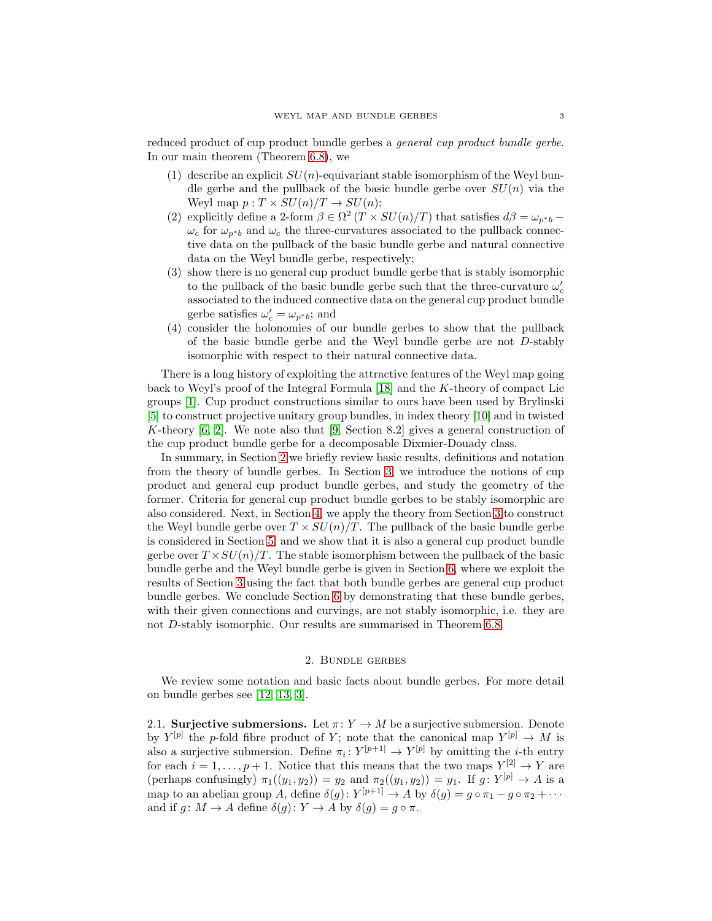reduced product of cup product bundle gerbes a general cup product bundle gerbe. In our main theorem (Theorem [6.8\)](#page-21-0), we

- (1) describe an explicit  $SU(n)$ -equivariant stable isomorphism of the Weyl bundle gerbe and the pullback of the basic bundle gerbe over  $SU(n)$  via the Weyl map  $p: T \times SU(n)/T \rightarrow SU(n);$
- (2) explicitly define a 2-form  $\beta \in \Omega^2(T \times SU(n)/T)$  that satisfies  $d\beta = \omega_{p^*b}$   $\omega_c$  for  $\omega_{p^*b}$  and  $\omega_c$  the three-curvatures associated to the pullback connective data on the pullback of the basic bundle gerbe and natural connective data on the Weyl bundle gerbe, respectively;
- (3) show there is no general cup product bundle gerbe that is stably isomorphic to the pullback of the basic bundle gerbe such that the three-curvature  $\omega_c'$ associated to the induced connective data on the general cup product bundle gerbe satisfies  $\omega'_c = \omega_{p^*b}$ ; and
- (4) consider the holonomies of our bundle gerbes to show that the pullback of the basic bundle gerbe and the Weyl bundle gerbe are not D-stably isomorphic with respect to their natural connective data.

There is a long history of exploiting the attractive features of the Weyl map going back to Weyl's proof of the Integral Formula [\[18\]](#page-25-1) and the K-theory of compact Lie groups [\[1\]](#page-24-4). Cup product constructions similar to ours have been used by Brylinski [\[5\]](#page-24-5) to construct projective unitary group bundles, in index theory [\[10\]](#page-24-6) and in twisted K-theory  $[6, 2]$  $[6, 2]$ . We note also that  $[9, \text{Section } 8.2]$  gives a general construction of the cup product bundle gerbe for a decomposable Dixmier-Douady class.

In summary, in Section [2](#page-2-0) we briefly review basic results, definitions and notation from the theory of bundle gerbes. In Section [3,](#page-5-0) we introduce the notions of cup product and general cup product bundle gerbes, and study the geometry of the former. Criteria for general cup product bundle gerbes to be stably isomorphic are also considered. Next, in Section [4,](#page-8-0) we apply the theory from Section [3](#page-5-0) to construct the Weyl bundle gerbe over  $T \times SU(n)/T$ . The pullback of the basic bundle gerbe is considered in Section [5,](#page-10-0) and we show that it is also a general cup product bundle gerbe over  $T \times SU(n)/T$ . The stable isomorphism between the pullback of the basic bundle gerbe and the Weyl bundle gerbe is given in Section [6,](#page-18-0) where we exploit the results of Section [3](#page-5-0) using the fact that both bundle gerbes are general cup product bundle gerbes. We conclude Section [6](#page-18-0) by demonstrating that these bundle gerbes, with their given connections and curvings, are not stably isomorphic, i.e. they are not D-stably isomorphic. Our results are summarised in Theorem [6.8.](#page-21-0)

### 2. Bundle gerbes

<span id="page-2-0"></span>We review some notation and basic facts about bundle gerbes. For more detail on bundle gerbes see [\[12,](#page-24-10) [13,](#page-24-11) [3\]](#page-24-12).

<span id="page-2-1"></span>2.1. Surjective submersions. Let  $\pi: Y \to M$  be a surjective submersion. Denote by  $Y^{[p]}$  the p-fold fibre product of Y; note that the canonical map  $Y^{[p]} \to M$  is also a surjective submersion. Define  $\pi_i: Y^{[p+1]} \to Y^{[p]}$  by omitting the *i*-th entry for each  $i = 1, \ldots, p + 1$ . Notice that this means that the two maps  $Y^{[2]} \to Y$  are (perhaps confusingly)  $\pi_1((y_1, y_2)) = y_2$  and  $\pi_2((y_1, y_2)) = y_1$ . If  $g: Y^{[p]} \to A$  is a map to an abelian group A, define  $\delta(g)$ :  $Y^{[p+1]} \to A$  by  $\delta(g) = g \circ \pi_1 - g \circ \pi_2 + \cdots$ and if  $g: M \to A$  define  $\delta(g): Y \to A$  by  $\delta(g) = g \circ \pi$ .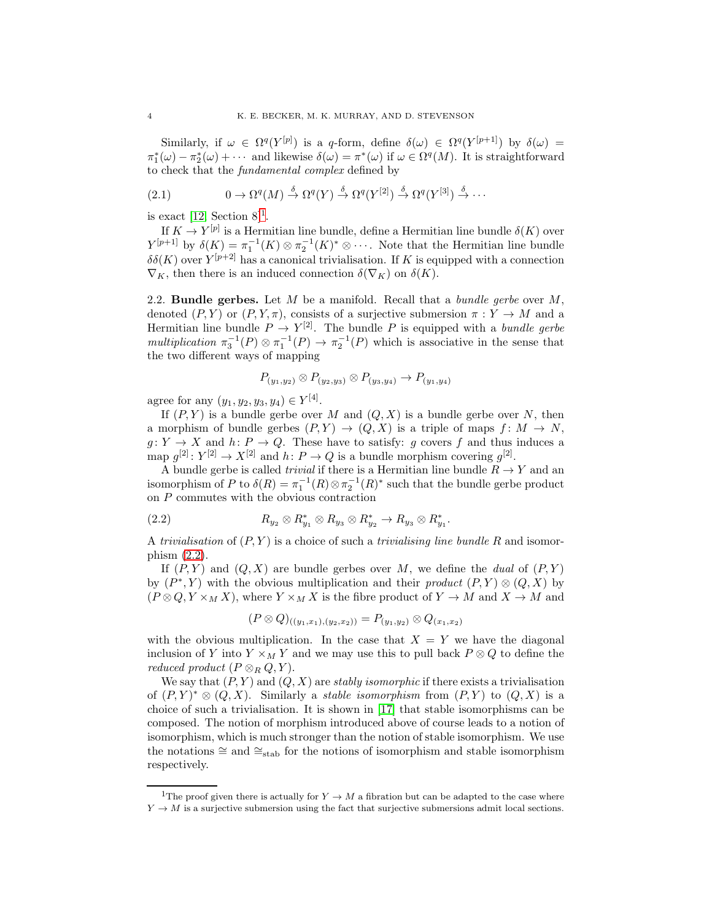Similarly, if  $\omega \in \Omega^q(Y^{[p]})$  is a q-form, define  $\delta(\omega) \in \Omega^q(Y^{[p+1]})$  by  $\delta(\omega) =$  $\pi_1^*(\omega) - \pi_2^*(\omega) + \cdots$  and likewise  $\delta(\omega) = \pi^*(\omega)$  if  $\omega \in \Omega^q(M)$ . It is straightforward to check that the fundamental complex defined by

<span id="page-3-3"></span>(2.1) 
$$
0 \to \Omega^q(M) \stackrel{\delta}{\to} \Omega^q(Y) \stackrel{\delta}{\to} \Omega^q(Y^{[2]}) \stackrel{\delta}{\to} \Omega^q(Y^{[3]}) \stackrel{\delta}{\to} \cdots
$$

is exact  $[12, Section 8]$  $[12, Section 8]$  $[12, Section 8]$ <sup>1</sup>.

If  $K \to Y^{[p]}$  is a Hermitian line bundle, define a Hermitian line bundle  $\delta(K)$  over  $Y^{[p+1]}$  by  $\delta(K) = \pi_1^{-1}(K) \otimes \pi_2^{-1}(K)^* \otimes \cdots$ . Note that the Hermitian line bundle  $\delta\delta(K)$  over  $Y^{[p+2]}$  has a canonical trivialisation. If K is equipped with a connection  $\nabla_K$ , then there is an induced connection  $\delta(\nabla_K)$  on  $\delta(K)$ .

<span id="page-3-0"></span>2.2. Bundle gerbes. Let  $M$  be a manifold. Recall that a *bundle gerbe* over  $M$ , denoted  $(P, Y)$  or  $(P, Y, \pi)$ , consists of a surjective submersion  $\pi : Y \to M$  and a Hermitian line bundle  $P \to Y^{[2]}$ . The bundle P is equipped with a bundle gerbe multiplication  $\pi_3^{-1}(P) \otimes \pi_1^{-1}(P) \to \pi_2^{-1}(P)$  which is associative in the sense that the two different ways of mapping

$$
P_{(y_1,y_2)} \otimes P_{(y_2,y_3)} \otimes P_{(y_3,y_4)} \to P_{(y_1,y_4)}
$$

agree for any  $(y_1, y_2, y_3, y_4) \in Y^{[4]}$ .

If  $(P, Y)$  is a bundle gerbe over M and  $(Q, X)$  is a bundle gerbe over N, then a morphism of bundle gerbes  $(P, Y) \rightarrow (Q, X)$  is a triple of maps  $f: M \rightarrow N$ ,  $g: Y \to X$  and  $h: P \to Q$ . These have to satisfy: g covers f and thus induces a map  $g^{[2]}: Y^{[2]} \to X^{[2]}$  and  $h: P \to Q$  is a bundle morphism covering  $g^{[2]}$ .

A bundle gerbe is called *trivial* if there is a Hermitian line bundle  $R \to Y$  and an isomorphism of P to  $\delta(R) = \pi_1^{-1}(R) \otimes \pi_2^{-1}(R)^*$  such that the bundle gerbe product on  $P$  commutes with the obvious contraction

(2.2) 
$$
R_{y_2} \otimes R_{y_1}^* \otimes R_{y_3} \otimes R_{y_2}^* \to R_{y_3} \otimes R_{y_1}^*.
$$

A trivialisation of  $(P, Y)$  is a choice of such a trivialising line bundle R and isomorphism [\(2.2\)](#page-3-2).

If  $(P, Y)$  and  $(Q, X)$  are bundle gerbes over M, we define the *dual* of  $(P, Y)$ by  $(P^*, Y)$  with the obvious multiplication and their product  $(P, Y) \otimes (Q, X)$  by  $(P \otimes Q, Y \times_M X)$ , where  $Y \times_M X$  is the fibre product of  $Y \to M$  and  $X \to M$  and

<span id="page-3-2"></span>
$$
(P \otimes Q)_{((y_1,x_1),(y_2,x_2))} = P_{(y_1,y_2)} \otimes Q_{(x_1,x_2)}
$$

with the obvious multiplication. In the case that  $X = Y$  we have the diagonal inclusion of Y into  $Y \times_M Y$  and we may use this to pull back  $P \otimes Q$  to define the reduced product  $(P \otimes_R Q, Y)$ .

We say that  $(P, Y)$  and  $(Q, X)$  are stably isomorphic if there exists a trivialisation of  $(P, Y)^* \otimes (Q, X)$ . Similarly a *stable isomorphism* from  $(P, Y)$  to  $(Q, X)$  is a choice of such a trivialisation. It is shown in [\[17\]](#page-25-2) that stable isomorphisms can be composed. The notion of morphism introduced above of course leads to a notion of isomorphism, which is much stronger than the notion of stable isomorphism. We use the notations  $\cong$  and  $\cong$ <sub>stab</sub> for the notions of isomorphism and stable isomorphism respectively.

<span id="page-3-1"></span><sup>&</sup>lt;sup>1</sup>The proof given there is actually for  $Y \to M$  a fibration but can be adapted to the case where  $Y \to M$  is a surjective submersion using the fact that surjective submersions admit local sections.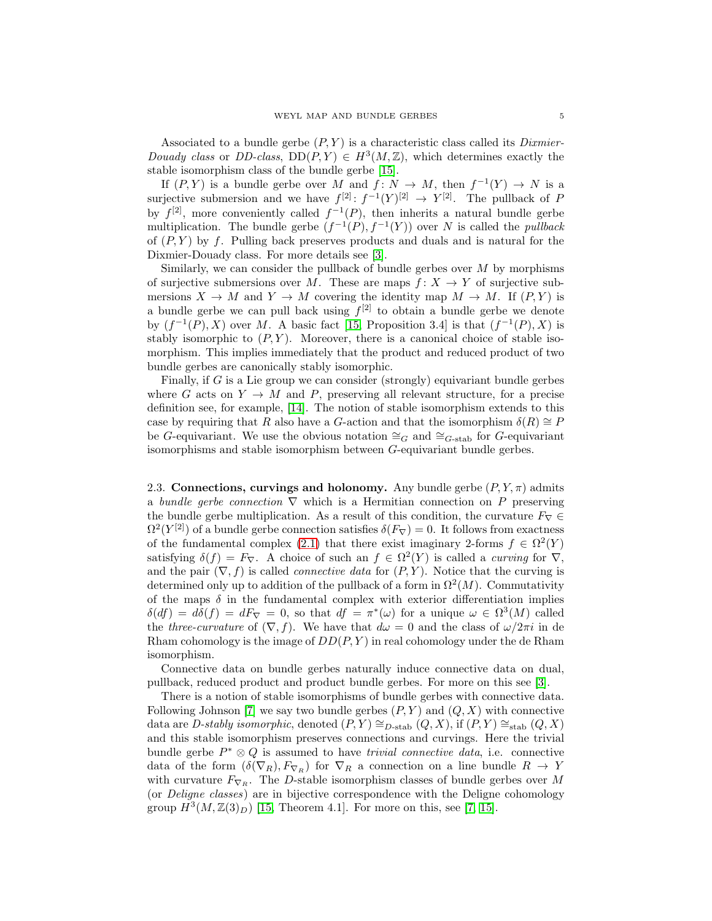Associated to a bundle gerbe  $(P, Y)$  is a characteristic class called its *Dixmier*-Douady class or DD-class,  $DD(P, Y) \in H^3(M, \mathbb{Z})$ , which determines exactly the stable isomorphism class of the bundle gerbe [\[15\]](#page-25-3).

If  $(P, Y)$  is a bundle gerbe over M and  $f: N \to M$ , then  $f^{-1}(Y) \to N$  is a surjective submersion and we have  $f^{[2]}: f^{-1}(Y)^{[2]} \to Y^{[2]}$ . The pullback of P by  $f^{[2]}$ , more conveniently called  $f^{-1}(P)$ , then inherits a natural bundle gerbe multiplication. The bundle gerbe  $(f^{-1}(P), f^{-1}(Y))$  over N is called the *pullback* of  $(P, Y)$  by f. Pulling back preserves products and duals and is natural for the Dixmier-Douady class. For more details see [\[3\]](#page-24-12).

Similarly, we can consider the pullback of bundle gerbes over  $M$  by morphisms of surjective submersions over M. These are maps  $f: X \to Y$  of surjective submersions  $X \to M$  and  $Y \to M$  covering the identity map  $M \to M$ . If  $(P, Y)$  is a bundle gerbe we can pull back using  $f^{[2]}$  to obtain a bundle gerbe we denote by  $(f^{-1}(P), X)$  over M. A basic fact [\[15,](#page-25-3) Proposition 3.4] is that  $(f^{-1}(P), X)$  is stably isomorphic to  $(P, Y)$ . Moreover, there is a canonical choice of stable isomorphism. This implies immediately that the product and reduced product of two bundle gerbes are canonically stably isomorphic.

Finally, if G is a Lie group we can consider (strongly) equivariant bundle gerbes where G acts on  $Y \to M$  and P, preserving all relevant structure, for a precise definition see, for example, [\[14\]](#page-24-13). The notion of stable isomorphism extends to this case by requiring that R also have a G-action and that the isomorphism  $\delta(R) \cong P$ be G-equivariant. We use the obvious notation  $\cong_G$  and  $\cong_{G\text{-stab}}$  for G-equivariant isomorphisms and stable isomorphism between G-equivariant bundle gerbes.

<span id="page-4-0"></span>2.3. Connections, curvings and holonomy. Any bundle gerbe  $(P, Y, \pi)$  admits a bundle gerbe connection  $\nabla$  which is a Hermitian connection on P preserving the bundle gerbe multiplication. As a result of this condition, the curvature  $F_{\nabla} \in$  $\Omega^2(Y^{[2]})$  of a bundle gerbe connection satisfies  $\delta(F_{\nabla}) = 0$ . It follows from exactness of the fundamental complex [\(2.1\)](#page-3-3) that there exist imaginary 2-forms  $f \in \Omega^2(Y)$ satisfying  $\delta(f) = F_{\nabla}$ . A choice of such an  $f \in \Omega^2(Y)$  is called a *curving* for  $\nabla$ , and the pair  $(\nabla, f)$  is called *connective data* for  $(P, Y)$ . Notice that the curving is determined only up to addition of the pullback of a form in  $\Omega^2(M)$ . Commutativity of the maps  $\delta$  in the fundamental complex with exterior differentiation implies  $\delta(df) = d\delta(f) = dF_{\nabla} = 0$ , so that  $df = \pi^*(\omega)$  for a unique  $\omega \in \Omega^3(M)$  called the three-curvature of  $(\nabla, f)$ . We have that  $d\omega = 0$  and the class of  $\omega/2\pi i$  in de Rham cohomology is the image of  $DD(P, Y)$  in real cohomology under the de Rham isomorphism.

Connective data on bundle gerbes naturally induce connective data on dual, pullback, reduced product and product bundle gerbes. For more on this see [\[3\]](#page-24-12).

There is a notion of stable isomorphisms of bundle gerbes with connective data. Following Johnson [\[7\]](#page-24-3) we say two bundle gerbes  $(P, Y)$  and  $(Q, X)$  with connective data are D-stably isomorphic, denoted  $(P, Y) \cong_{D\text{-stab}} (Q, X)$ , if  $(P, Y) \cong_{\text{stab}} (Q, X)$ and this stable isomorphism preserves connections and curvings. Here the trivial bundle gerbe  $P^* \otimes Q$  is assumed to have *trivial connective data*, i.e. connective data of the form  $(\delta(\nabla_R), F_{\nabla_R})$  for  $\nabla_R$  a connection on a line bundle  $R \to Y$ with curvature  $F_{\nabla_R}$ . The D-stable isomorphism classes of bundle gerbes over M (or Deligne classes) are in bijective correspondence with the Deligne cohomology group  $H^3(M, \mathbb{Z}(3)_D)$  [\[15,](#page-25-3) Theorem 4.1]. For more on this, see [\[7,](#page-24-3) [15\]](#page-25-3).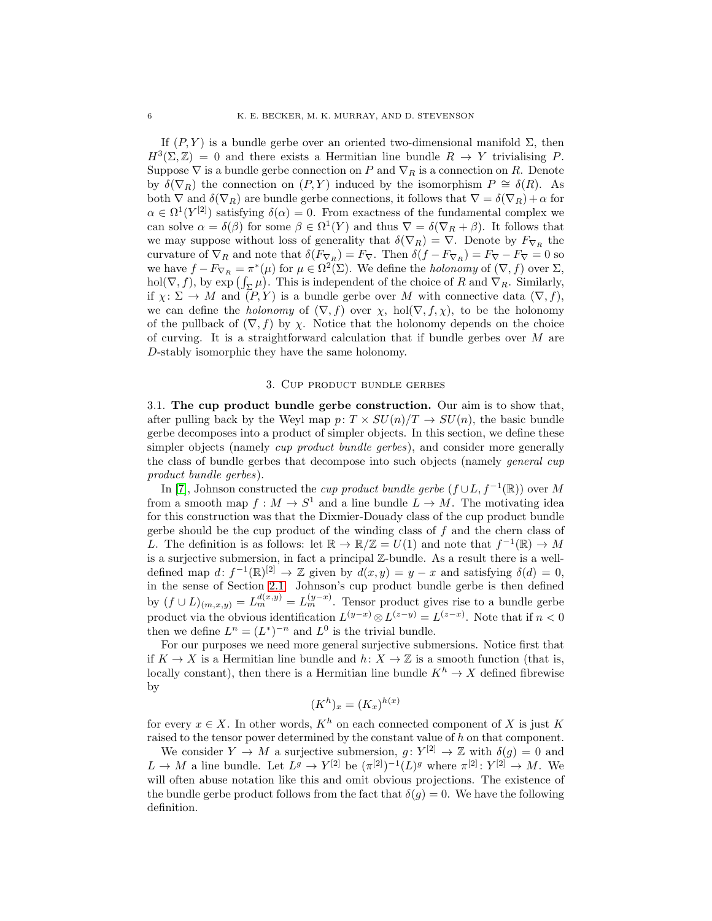If  $(P, Y)$  is a bundle gerbe over an oriented two-dimensional manifold  $\Sigma$ , then  $H^3(\Sigma, \mathbb{Z}) = 0$  and there exists a Hermitian line bundle  $R \to Y$  trivialising P. Suppose  $\nabla$  is a bundle gerbe connection on P and  $\nabla_R$  is a connection on R. Denote by  $\delta(\nabla_R)$  the connection on  $(P, Y)$  induced by the isomorphism  $P \cong \delta(R)$ . As both  $\nabla$  and  $\delta(\nabla_R)$  are bundle gerbe connections, it follows that  $\nabla = \delta(\nabla_R) + \alpha$  for  $\alpha \in \Omega^1(Y^{[2]})$  satisfying  $\delta(\alpha) = 0$ . From exactness of the fundamental complex we can solve  $\alpha = \delta(\beta)$  for some  $\beta \in \Omega^1(Y)$  and thus  $\nabla = \delta(\nabla_R + \beta)$ . It follows that we may suppose without loss of generality that  $\delta(\nabla_R) = \nabla$ . Denote by  $F_{\nabla_R}$  the curvature of  $\nabla_R$  and note that  $\delta(F_{\nabla_R}) = F_{\nabla}$ . Then  $\delta(f - F_{\nabla_R}) = F_{\nabla} - F_{\nabla} = 0$  so we have  $f - F_{\nabla_R} = \pi^*(\mu)$  for  $\mu \in \Omega^2(\Sigma)$ . We define the *holonomy* of  $(\nabla, f)$  over  $\Sigma$ , hol( $\nabla, f$ ), by exp  $(\int_{\Sigma} \mu)$ . This is independent of the choice of R and  $\nabla_R$ . Similarly, if  $\chi: \Sigma \to M$  and  $(P, Y)$  is a bundle gerbe over M with connective data  $(\nabla, f)$ , we can define the *holonomy* of  $(\nabla, f)$  over  $\chi$ , hol $(\nabla, f, \chi)$ , to be the holonomy of the pullback of  $(\nabla, f)$  by x. Notice that the holonomy depends on the choice of curving. It is a straightforward calculation that if bundle gerbes over  $M$  are D-stably isomorphic they have the same holonomy.

# 3. Cup product bundle gerbes

<span id="page-5-1"></span><span id="page-5-0"></span>3.1. The cup product bundle gerbe construction. Our aim is to show that, after pulling back by the Weyl map  $p: T \times SU(n)/T \rightarrow SU(n)$ , the basic bundle gerbe decomposes into a product of simpler objects. In this section, we define these simpler objects (namely *cup product bundle gerbes*), and consider more generally the class of bundle gerbes that decompose into such objects (namely general cup product bundle gerbes).

In [\[7\]](#page-24-3), Johnson constructed the *cup product bundle gerbe*  $(f \cup L, f^{-1}(\mathbb{R}))$  over M from a smooth map  $f: M \to S^1$  and a line bundle  $L \to M$ . The motivating idea for this construction was that the Dixmier-Douady class of the cup product bundle gerbe should be the cup product of the winding class of  $f$  and the chern class of L. The definition is as follows: let  $\mathbb{R} \to \mathbb{R}/\mathbb{Z} = U(1)$  and note that  $f^{-1}(\mathbb{R}) \to M$ is a surjective submersion, in fact a principal Z-bundle. As a result there is a welldefined map  $d: f^{-1}(\mathbb{R})^{[2]} \to \mathbb{Z}$  given by  $d(x, y) = y - x$  and satisfying  $\delta(d) = 0$ , in the sense of Section [2.1.](#page-2-1) Johnson's cup product bundle gerbe is then defined by  $(f \cup L)_{(m,x,y)} = L_m^{d(x,y)} = L_m^{(y-x)}$ . Tensor product gives rise to a bundle gerbe product via the obvious identification  $L^{(y-x)} \otimes L^{(z-y)} = L^{(z-x)}$ . Note that if  $n < 0$ then we define  $L^n = (L^*)^{-n}$  and  $L^0$  is the trivial bundle.

For our purposes we need more general surjective submersions. Notice first that if  $K \to X$  is a Hermitian line bundle and  $h: X \to \mathbb{Z}$  is a smooth function (that is, locally constant), then there is a Hermitian line bundle  $K^h \to X$  defined fibrewise by

$$
(K^h)_x = (K_x)^{h(x)}
$$

for every  $x \in X$ . In other words,  $K^h$  on each connected component of X is just K raised to the tensor power determined by the constant value of h on that component.

We consider  $Y \to M$  a surjective submersion,  $g: Y^{[2]} \to \mathbb{Z}$  with  $\delta(g) = 0$  and  $L \to M$  a line bundle. Let  $L^g \to Y^{[2]}$  be  $(\pi^{[2]})^{-1}(L)^g$  where  $\pi^{[2]}: Y^{[2]} \to M$ . We will often abuse notation like this and omit obvious projections. The existence of the bundle gerbe product follows from the fact that  $\delta(q) = 0$ . We have the following definition.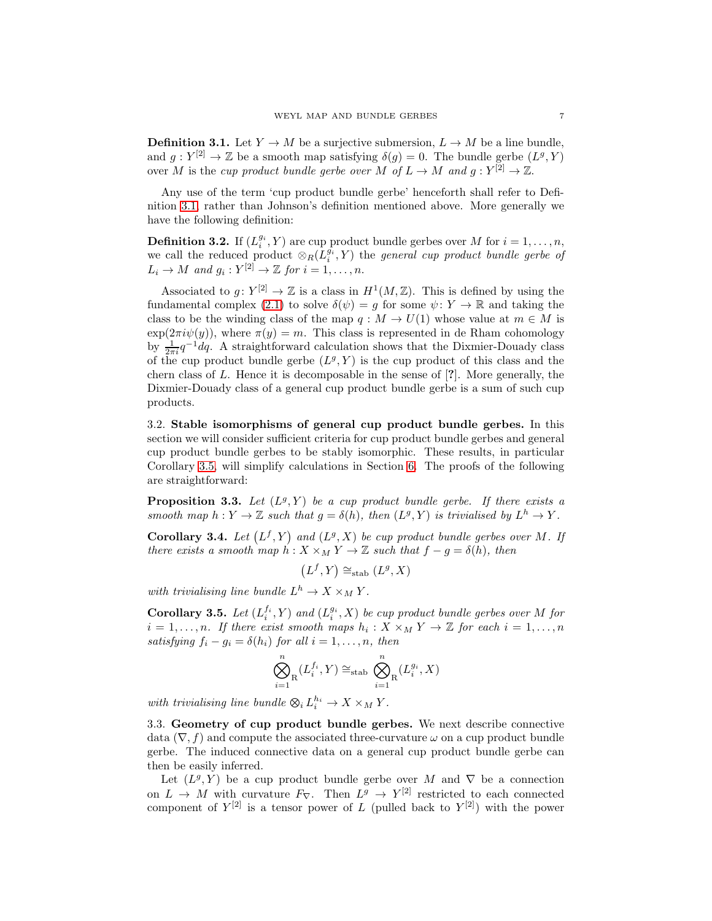<span id="page-6-2"></span>**Definition 3.1.** Let  $Y \to M$  be a surjective submersion,  $L \to M$  be a line bundle, and  $g: Y^{[2]} \to \mathbb{Z}$  be a smooth map satisfying  $\delta(g) = 0$ . The bundle gerbe  $(L^g, Y)$ over M is the *cup product bundle gerbe over* M of  $L \to M$  and  $g: Y^{[2]} \to \mathbb{Z}$ .

Any use of the term 'cup product bundle gerbe' henceforth shall refer to Definition [3.1,](#page-6-2) rather than Johnson's definition mentioned above. More generally we have the following definition:

**Definition 3.2.** If  $(L_i^{g_i}, Y)$  are cup product bundle gerbes over M for  $i = 1, ..., n$ , we call the reduced product  $\otimes_R(L_i^{g_i}, Y)$  the *general cup product bundle gerbe of*  $L_i \to M$  and  $g_i: Y^{[2]} \to \mathbb{Z}$  for  $i = 1, \ldots, n$ .

Associated to  $g: Y^{[2]} \to \mathbb{Z}$  is a class in  $H^1(M, \mathbb{Z})$ . This is defined by using the fundamental complex [\(2.1\)](#page-3-3) to solve  $\delta(\psi) = g$  for some  $\psi \colon Y \to \mathbb{R}$  and taking the class to be the winding class of the map  $q : M \to U(1)$  whose value at  $m \in M$  is  $\exp(2\pi i\psi(y))$ , where  $\pi(y) = m$ . This class is represented in de Rham cohomology by  $\frac{1}{2\pi i}q^{-1}dq$ . A straightforward calculation shows that the Dixmier-Douady class of the cup product bundle gerbe  $(L^g, Y)$  is the cup product of this class and the chern class of L. Hence it is decomposable in the sense of [?]. More generally, the Dixmier-Douady class of a general cup product bundle gerbe is a sum of such cup products.

<span id="page-6-0"></span>3.2. Stable isomorphisms of general cup product bundle gerbes. In this section we will consider sufficient criteria for cup product bundle gerbes and general cup product bundle gerbes to be stably isomorphic. These results, in particular Corollary [3.5,](#page-6-3) will simplify calculations in Section [6.](#page-18-0) The proofs of the following are straightforward:

**Proposition 3.3.** Let  $(L^g, Y)$  be a cup product bundle gerbe. If there exists a smooth map  $h: Y \to \mathbb{Z}$  such that  $g = \delta(h)$ , then  $(L^g, Y)$  is trivialised by  $L^h \to Y$ .

**Corollary 3.4.** Let  $(L^f, Y)$  and  $(L^g, X)$  be cup product bundle gerbes over M. If there exists a smooth map  $h: X \times_M Y \to \mathbb{Z}$  such that  $f - g = \delta(h)$ , then

 $(L^f, Y) \cong_{\text{stab}} (L^g, X)$ 

with trivialising line bundle  $L^h \to X \times_M Y$ .

<span id="page-6-3"></span>**Corollary 3.5.** Let  $(L_i^{f_i}, Y)$  and  $(L_i^{g_i}, X)$  be cup product bundle gerbes over M for  $i = 1, \ldots, n$ . If there exist smooth maps  $h_i : X \times_M Y \to \mathbb{Z}$  for each  $i = 1, \ldots, n$ satisfying  $f_i - g_i = \delta(h_i)$  for all  $i = 1, \ldots, n$ , then

$$
\bigotimes_{i=1}^n(L_i^{f_i},Y)\cong_{\operatorname{stab}}\bigotimes_{i=1}^n(L_i^{g_i},X)
$$

with trivialising line bundle  $\otimes_i L_i^{h_i} \to X \times_M Y$ .

<span id="page-6-1"></span>3.3. Geometry of cup product bundle gerbes. We next describe connective data  $(\nabla, f)$  and compute the associated three-curvature  $\omega$  on a cup product bundle gerbe. The induced connective data on a general cup product bundle gerbe can then be easily inferred.

Let  $(L^g, Y)$  be a cup product bundle gerbe over M and  $\nabla$  be a connection on  $L \to M$  with curvature  $F_{\nabla}$ . Then  $L^g \to Y^{[2]}$  restricted to each connected component of  $Y^{[2]}$  is a tensor power of L (pulled back to  $Y^{[2]}$ ) with the power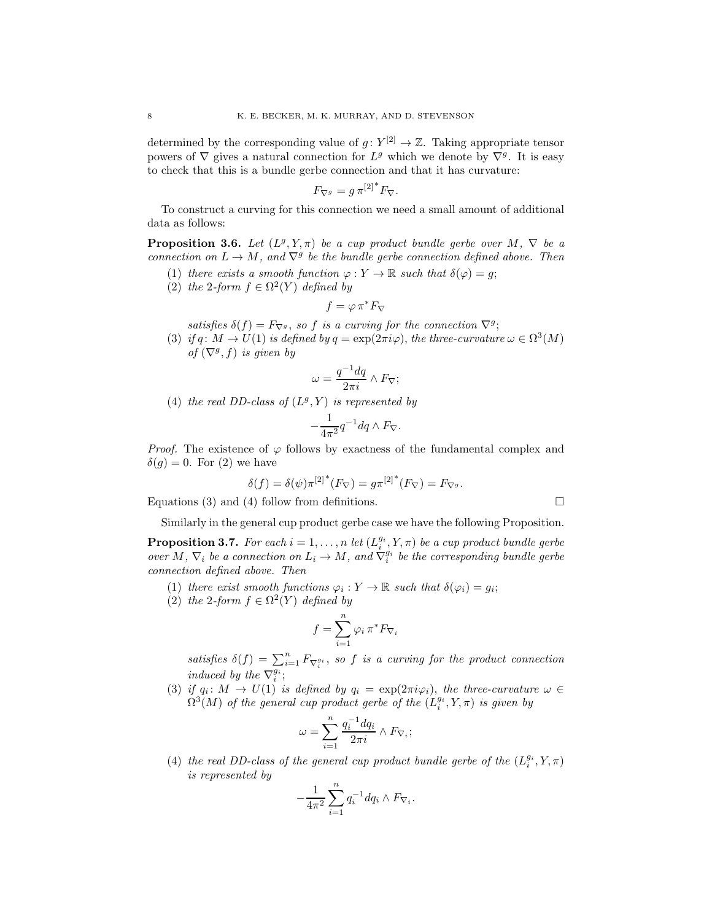determined by the corresponding value of  $g: Y^{[2]} \to \mathbb{Z}$ . Taking appropriate tensor powers of  $\nabla$  gives a natural connection for  $L^g$  which we denote by  $\nabla^g$ . It is easy to check that this is a bundle gerbe connection and that it has curvature:

$$
F_{\nabla^g} = g \,\pi^{[2]^*} F_{\nabla}.
$$

To construct a curving for this connection we need a small amount of additional data as follows:

<span id="page-7-0"></span>**Proposition 3.6.** Let  $(L^g, Y, \pi)$  be a cup product bundle gerbe over M,  $\nabla$  be a connection on  $L \to M$ , and  $\nabla^g$  be the bundle gerbe connection defined above. Then

- (1) there exists a smooth function  $\varphi: Y \to \mathbb{R}$  such that  $\delta(\varphi) = g$ ;
- (2) the 2-form  $f \in \Omega^2(Y)$  defined by

$$
f=\varphi\,\pi^*F_\nabla
$$

satisfies  $\delta(f) = F_{\nabla^g}$ , so f is a curving for the connection  $\nabla^g$ ;

(3) if q:  $M \to U(1)$  is defined by  $q = \exp(2\pi i \varphi)$ , the three-curvature  $\omega \in \Omega^3(M)$ of  $(\nabla^g, f)$  is given by

$$
\omega = \frac{q^{-1}dq}{2\pi i} \wedge F_{\nabla};
$$

(4) the real DD-class of  $(L^g, Y)$  is represented by

$$
-\frac{1}{4\pi^2}q^{-1}dq\wedge F_{\nabla}.
$$

*Proof.* The existence of  $\varphi$  follows by exactness of the fundamental complex and  $\delta(q) = 0$ . For (2) we have

$$
\delta(f) = \delta(\psi) \pi^{[2]^*} (F_\nabla) = g \pi^{[2]^*} (F_\nabla) = F_{\nabla^g}.
$$

Equations (3) and (4) follow from definitions.

Similarly in the general cup product gerbe case we have the following Proposition.

<span id="page-7-1"></span>**Proposition 3.7.** For each  $i = 1, ..., n$  let  $(L_i^{g_i}, Y, \pi)$  be a cup product bundle gerbe over M,  $\nabla_i$  be a connection on  $L_i \to M$ , and  $\nabla_i^{g_i}$  be the corresponding bundle gerbe connection defined above. Then

- (1) there exist smooth functions  $\varphi_i: Y \to \mathbb{R}$  such that  $\delta(\varphi_i) = g_i$ ;
- (2) the 2-form  $f \in \Omega^2(Y)$  defined by

$$
f=\sum_{i=1}^n\varphi_i\,\pi^*F_{\nabla_i}
$$

satisfies  $\delta(f) = \sum_{i=1}^n F_{\nabla_i^{g_i}}$ , so f is a curving for the product connection induced by the  $\nabla_i^{g_i}$ ;

(3) if  $q_i \colon M \to U(1)$  is defined by  $q_i = \exp(2\pi i \varphi_i)$ , the three-curvature  $\omega \in$  $\Omega^3(M)$  of the general cup product gerbe of the  $(L^{g_i}_i, Y, \pi)$  is given by

$$
\omega=\sum_{i=1}^n \frac{q_i^{-1}dq_i}{2\pi i}\wedge F_{\nabla_i};
$$

(4) the real DD-class of the general cup product bundle gerbe of the  $(L_i^{g_i}, Y, \pi)$ is represented by

$$
-\frac{1}{4\pi^2}\sum_{i=1}^n q_i^{-1}dq_i \wedge F_{\nabla_i}.
$$

$$
\sqcup
$$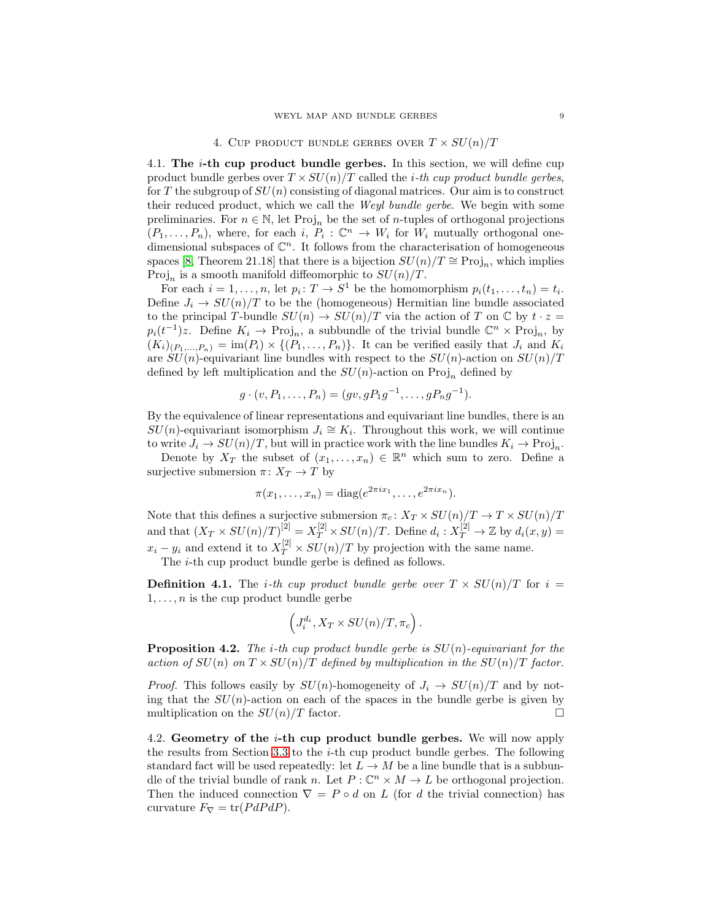# 4. CUP PRODUCT BUNDLE GERBES OVER  $T \times SU(n)/T$

<span id="page-8-1"></span><span id="page-8-0"></span>4.1. The  $i$ -th cup product bundle gerbes. In this section, we will define cup product bundle gerbes over  $T \times SU(n)/T$  called the *i*-th cup product bundle gerbes, for T the subgroup of  $SU(n)$  consisting of diagonal matrices. Our aim is to construct their reduced product, which we call the Weyl bundle gerbe. We begin with some preliminaries. For  $n \in \mathbb{N}$ , let Proj<sub>n</sub> be the set of *n*-tuples of orthogonal projections  $(P_1, \ldots, P_n)$ , where, for each i,  $P_i : \mathbb{C}^n \to W_i$  for  $W_i$  mutually orthogonal onedimensional subspaces of  $\mathbb{C}^n$ . It follows from the characterisation of homogeneous spaces [\[8,](#page-24-14) Theorem 21.18] that there is a bijection  $SU(n)/T \cong \text{Proj}_n$ , which implies Proj<sub>n</sub> is a smooth manifold diffeomorphic to  $SU(n)/T$ .

For each  $i = 1, ..., n$ , let  $p_i \colon T \to S^1$  be the homomorphism  $p_i(t_1, ..., t_n) = t_i$ . Define  $J_i \rightarrow SU(n)/T$  to be the (homogeneous) Hermitian line bundle associated to the principal T-bundle  $SU(n) \to SU(n)/T$  via the action of T on C by  $t \cdot z =$  $p_i(t^{-1})z$ . Define  $K_i \to \text{Proj}_n$ , a subbundle of the trivial bundle  $\mathbb{C}^n \times \text{Proj}_n$ , by  $(K_i)_{(P_1,...,P_n)} = \text{im}(P_i) \times \{(P_1,...,P_n)\}.$  It can be verified easily that  $J_i$  and  $K_i$ are  $SU(n)$ -equivariant line bundles with respect to the  $SU(n)$ -action on  $SU(n)/T$ defined by left multiplication and the  $SU(n)$ -action on Proj<sub>n</sub> defined by

$$
g \cdot (v, P_1, \dots, P_n) = (gv, gP_1g^{-1}, \dots, gP_ng^{-1}).
$$

By the equivalence of linear representations and equivariant line bundles, there is an  $SU(n)$ -equivariant isomorphism  $J_i \cong K_i$ . Throughout this work, we will continue to write  $J_i \to SU(n)/T$ , but will in practice work with the line bundles  $K_i \to \text{Proj}_n$ .

Denote by  $X_T$  the subset of  $(x_1, \ldots, x_n) \in \mathbb{R}^n$  which sum to zero. Define a surjective submersion  $\pi: X_T \to T$  by

$$
\pi(x_1,\ldots,x_n)=\mathrm{diag}(e^{2\pi ix_1},\ldots,e^{2\pi ix_n}).
$$

Note that this defines a surjective submersion  $\pi_c: X_T \times SU(n)/T \rightarrow T \times SU(n)/T$ and that  $(X_T \times SU(n)/T)^{[2]} = X_T^{[2]} \times SU(n)/T$ . Define  $d_i : X_T^{[2]} \to \mathbb{Z}$  by  $d_i(x, y) =$  $x_i - y_i$  and extend it to  $X_T^{[2]} \times SU(n)/T$  by projection with the same name.

The *i*-th cup product bundle gerbe is defined as follows.

**Definition 4.1.** The *i*-th cup product bundle gerbe over  $T \times SU(n)/T$  for  $i =$  $1, \ldots, n$  is the cup product bundle gerbe

$$
\left(J_i^{d_i}, X_T \times SU(n)/T, \pi_c\right).
$$

<span id="page-8-3"></span>**Proposition 4.2.** The *i*-th cup product bundle gerbe is  $SU(n)$ -equivariant for the action of  $SU(n)$  on  $T \times SU(n)/T$  defined by multiplication in the  $SU(n)/T$  factor.

*Proof.* This follows easily by  $SU(n)$ -homogeneity of  $J_i \rightarrow SU(n)/T$  and by noting that the  $SU(n)$ -action on each of the spaces in the bundle gerbe is given by multiplication on the  $SU(n)/T$  factor.

<span id="page-8-2"></span>4.2. Geometry of the i-th cup product bundle gerbes. We will now apply the results from Section [3.3](#page-6-1) to the  $i$ -th cup product bundle gerbes. The following standard fact will be used repeatedly: let  $L \to M$  be a line bundle that is a subbundle of the trivial bundle of rank n. Let  $P: \mathbb{C}^n \times M \to L$  be orthogonal projection. Then the induced connection  $\nabla = P \circ d$  on L (for d the trivial connection) has curvature  $F_{\nabla} = \text{tr}(P dP dP)$ .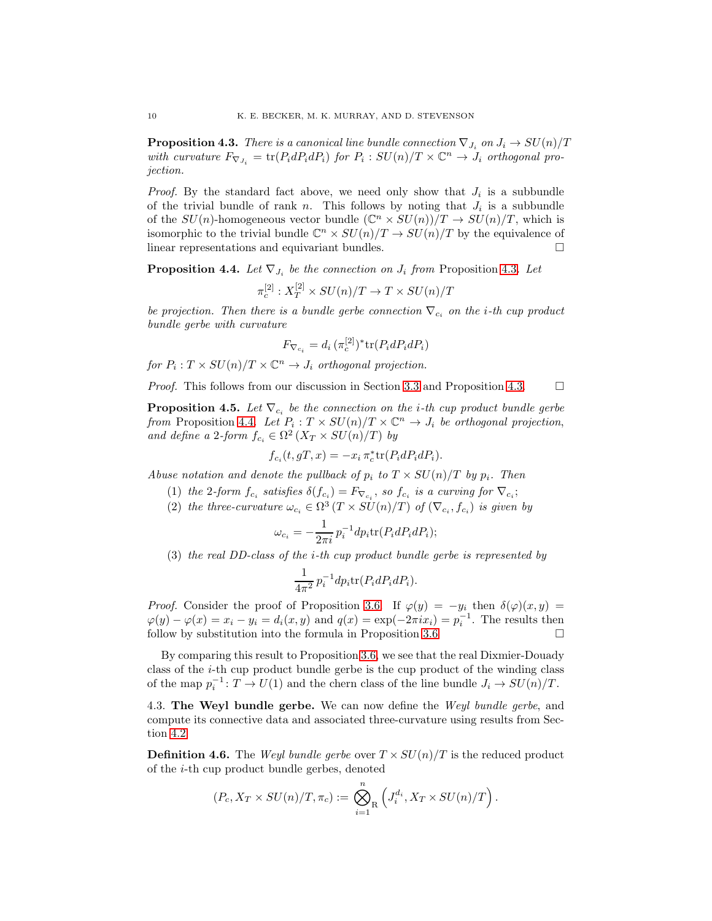<span id="page-9-1"></span>**Proposition 4.3.** There is a canonical line bundle connection  $\nabla_{J_i}$  on  $J_i \to SU(n)/T$ with curvature  $F_{\nabla J_i} = \text{tr}(P_i dP_i dP_i)$  for  $P_i : SU(n)/T \times \mathbb{C}^n \to J_i$  orthogonal projection.

*Proof.* By the standard fact above, we need only show that  $J_i$  is a subbundle of the trivial bundle of rank n. This follows by noting that  $J_i$  is a subbundle of the  $SU(n)$ -homogeneous vector bundle  $(\mathbb{C}^n \times SU(n))/T \to SU(n)/T$ , which is isomorphic to the trivial bundle  $\mathbb{C}^n \times SU(n)/T \to SU(n)/T$  by the equivalence of linear representations and equivariant bundles.

<span id="page-9-2"></span>**Proposition 4.4.** Let  $\nabla_{J_i}$  be the connection on  $J_i$  from Proposition [4.3](#page-9-1). Let

$$
\pi_c^{[2]} : X_T^{[2]} \times SU(n)/T \to T \times SU(n)/T
$$

be projection. Then there is a bundle gerbe connection  $\nabla_{c_i}$  on the *i*-th cup product bundle gerbe with curvature

$$
F_{\nabla_{c_i}} = d_i \left( \pi_c^{[2]} \right)^* \text{tr}(P_i dP_i dP_i)
$$

for  $P_i: T \times SU(n)/T \times \mathbb{C}^n \rightarrow J_i$  orthogonal projection.

*Proof.* This follows from our discussion in Section [3.3](#page-6-1) and Proposition [4.3.](#page-9-1)  $\Box$ 

<span id="page-9-3"></span>**Proposition 4.5.** Let  $\nabla_{c_i}$  be the connection on the *i*-th cup product bundle gerbe from Proposition [4.4](#page-9-2). Let  $P_i: T \times SU(n)/T \times \mathbb{C}^n \to J_i$  be orthogonal projection, and define a 2-form  $f_{c_i} \in \Omega^2(X_T \times SU(n)/T)$  by

$$
f_{c_i}(t, gT, x) = -x_i \pi_c^* \text{tr}(P_i dP_i dP_i).
$$

Abuse notation and denote the pullback of  $p_i$  to  $T \times SU(n)/T$  by  $p_i$ . Then

- (1) the 2-form  $f_{c_i}$  satisfies  $\delta(f_{c_i}) = F_{\nabla_{c_i}}$ , so  $f_{c_i}$  is a curving for  $\nabla_{c_i}$ ;
- (2) the three-curvature  $\omega_{c_i} \in \Omega^3(T \times SU(n)/T)$  of  $(\nabla_{c_i}, f_{c_i})$  is given by

$$
\omega_{c_i} = -\frac{1}{2\pi i} p_i^{-1} dp_i \text{tr}(P_i dP_i dP_i);
$$

(3) the real DD-class of the i-th cup product bundle gerbe is represented by

$$
\frac{1}{4\pi^2} p_i^{-1} dp_i \text{tr}(P_i dP_i dP_i).
$$

*Proof.* Consider the proof of Proposition [3.6.](#page-7-0) If  $\varphi(y) = -y_i$  then  $\delta(\varphi)(x, y) =$  $\varphi(y) - \varphi(x) = x_i - y_i = d_i(x, y)$  and  $q(x) = \exp(-2\pi i x_i) = p_i^{-1}$ . The results then follow by substitution into the formula in Proposition [3.6](#page-7-0)

By comparing this result to Proposition [3.6,](#page-7-0) we see that the real Dixmier-Douady class of the  $i$ -th cup product bundle gerbe is the cup product of the winding class of the map  $p_i^{-1}$ :  $T \to U(1)$  and the chern class of the line bundle  $J_i \to SU(n)/T$ .

<span id="page-9-0"></span>4.3. The Weyl bundle gerbe. We can now define the Weyl bundle gerbe, and compute its connective data and associated three-curvature using results from Section [4.2.](#page-8-2)

<span id="page-9-4"></span>**Definition 4.6.** The *Weyl bundle gerbe* over  $T \times SU(n)/T$  is the reduced product of the i-th cup product bundle gerbes, denoted

$$
(P_c, X_T \times SU(n)/T, \pi_c) := \bigotimes_{i=1}^n \left( J_i^{d_i}, X_T \times SU(n)/T \right).
$$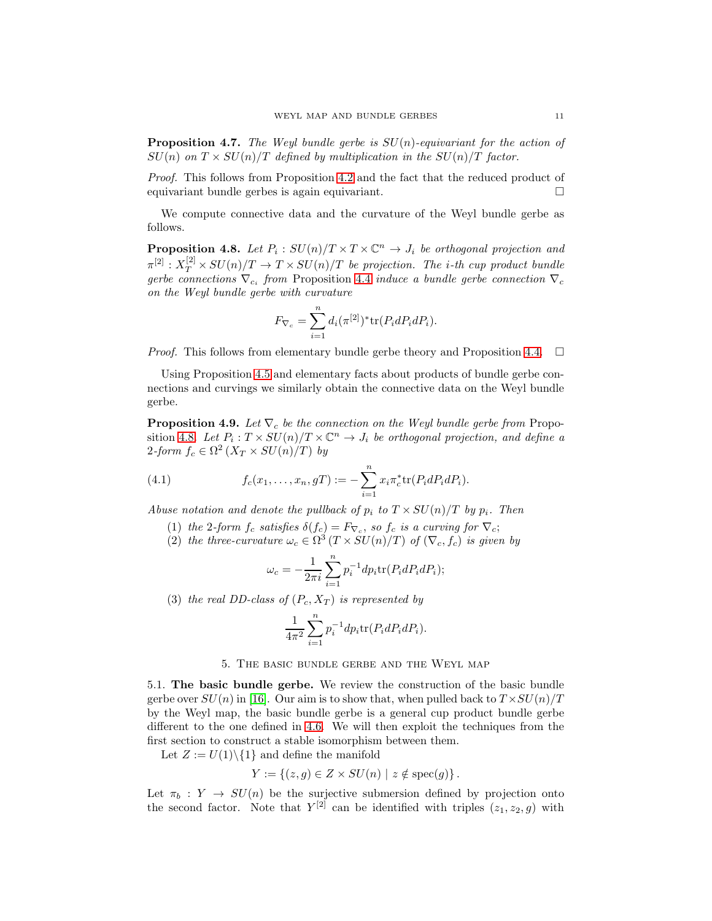**Proposition 4.7.** The Weyl bundle gerbe is  $SU(n)$ -equivariant for the action of  $SU(n)$  on  $T \times SU(n)/T$  defined by multiplication in the  $SU(n)/T$  factor.

Proof. This follows from Proposition [4.2](#page-8-3) and the fact that the reduced product of equivariant bundle gerbes is again equivariant.

We compute connective data and the curvature of the Weyl bundle gerbe as follows.

<span id="page-10-2"></span>**Proposition 4.8.** Let  $P_i : SU(n)/T \times T \times \mathbb{C}^n \to J_i$  be orthogonal projection and  $\pi^{[2]} : X_T^{[2]} \times SU(n) / T \rightarrow T \times SU(n) / T$  be projection. The *i*-th cup product bundle gerbe connections  $\nabla_{c_i}$  from Proposition [4.4](#page-9-2) induce a bundle gerbe connection  $\nabla_c$ on the Weyl bundle gerbe with curvature

$$
F_{\nabla_c} = \sum_{i=1}^n d_i (\pi^{[2]})^* \text{tr}(P_i dP_i dP_i).
$$

*Proof.* This follows from elementary bundle gerbe theory and Proposition [4.4.](#page-9-2)  $\Box$ 

Using Proposition [4.5](#page-9-3) and elementary facts about products of bundle gerbe connections and curvings we similarly obtain the connective data on the Weyl bundle gerbe.

<span id="page-10-3"></span>**Proposition 4.9.** Let  $\nabla_c$  be the connection on the Weyl bundle gerbe from Propo-sition [4.8](#page-10-2). Let  $P_i: T \times SU(n)/T \times \mathbb{C}^n \to J_i$  be orthogonal projection, and define a 2-form  $f_c \in \Omega^2(X_T \times SU(n)/T)$  by

(4.1) 
$$
f_c(x_1,...,x_n,gT) := -\sum_{i=1}^n x_i \pi_c^* \text{tr}(P_i dP_i dP_i).
$$

Abuse notation and denote the pullback of  $p_i$  to  $T \times SU(n)/T$  by  $p_i$ . Then

- (1) the 2-form  $f_c$  satisfies  $\delta(f_c) = F_{\nabla_c}$ , so  $f_c$  is a curving for  $\nabla_c$ ;
- (2) the three-curvature  $\omega_c \in \Omega^3(T \times SU(n)/T)$  of  $(\nabla_c, f_c)$  is given by

$$
\omega_c = -\frac{1}{2\pi i} \sum_{i=1}^n p_i^{-1} dp_i \text{tr}(P_i dP_i dP_i);
$$

(3) the real DD-class of  $(P_c, X_T)$  is represented by

$$
\frac{1}{4\pi^2} \sum_{i=1}^n p_i^{-1} dp_i \text{tr}(P_i dP_i dP_i).
$$

# 5. The basic bundle gerbe and the Weyl map

<span id="page-10-1"></span><span id="page-10-0"></span>5.1. The basic bundle gerbe. We review the construction of the basic bundle gerbe over  $SU(n)$  in [\[16\]](#page-25-0). Our aim is to show that, when pulled back to  $T \times SU(n)/T$ by the Weyl map, the basic bundle gerbe is a general cup product bundle gerbe different to the one defined in [4.6.](#page-9-4) We will then exploit the techniques from the first section to construct a stable isomorphism between them.

Let  $Z := U(1) \setminus \{1\}$  and define the manifold

$$
Y := \{(z, g) \in Z \times SU(n) \mid z \notin \text{spec}(g)\}.
$$

Let  $\pi_b : Y \to SU(n)$  be the surjective submersion defined by projection onto the second factor. Note that  $Y^{[2]}$  can be identified with triples  $(z_1, z_2, g)$  with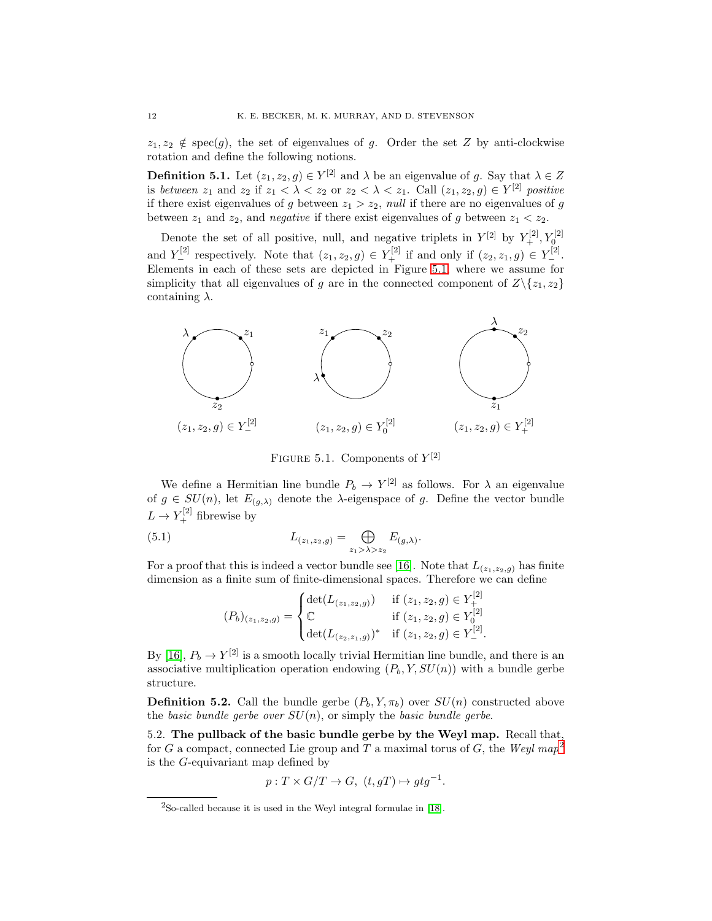$z_1, z_2 \notin \text{spec}(g)$ , the set of eigenvalues of g. Order the set Z by anti-clockwise rotation and define the following notions.

**Definition 5.1.** Let  $(z_1, z_2, g) \in Y^{[2]}$  and  $\lambda$  be an eigenvalue of g. Say that  $\lambda \in Z$ is between  $z_1$  and  $z_2$  if  $z_1 < \lambda < z_2$  or  $z_2 < \lambda < z_1$ . Call  $(z_1, z_2, g) \in Y^{[2]}$  positive if there exist eigenvalues of g between  $z_1 > z_2$ , null if there are no eigenvalues of g between  $z_1$  and  $z_2$ , and *negative* if there exist eigenvalues of g between  $z_1 < z_2$ .

Denote the set of all positive, null, and negative triplets in  $Y^{[2]}$  by  $Y^{[2]}_+$ ,  $Y^{[2]}_0$ and  $Y_{-}^{[2]}$  respectively. Note that  $(z_1, z_2, g) \in Y_{+}^{[2]}$  if and only if  $(z_2, z_1, g) \in Y_{-}^{[2]}$ . Elements in each of these sets are depicted in Figure [5.1,](#page-11-1) where we assume for simplicity that all eigenvalues of g are in the connected component of  $Z\{z_1, z_2\}$ containing  $\lambda$ .

<span id="page-11-1"></span>

<span id="page-11-3"></span>FIGURE 5.1. Components of  $Y^{[2]}$ 

We define a Hermitian line bundle  $P_b \to Y^{[2]}$  as follows. For  $\lambda$  an eigenvalue of  $g \in SU(n)$ , let  $E_{(g,\lambda)}$  denote the  $\lambda$ -eigenspace of g. Define the vector bundle  $L \to Y_+^{[2]}$  fibrewise by

(5.1) 
$$
L_{(z_1,z_2,g)} = \bigoplus_{z_1 > \lambda > z_2} E_{(g,\lambda)}.
$$

For a proof that this is indeed a vector bundle see [\[16\]](#page-25-0). Note that  $L_{(z_1,z_2,g)}$  has finite dimension as a finite sum of finite-dimensional spaces. Therefore we can define

$$
(P_b)_{(z_1,z_2,g)} = \begin{cases} \det(L_{(z_1,z_2,g)}) & \text{if } (z_1,z_2,g) \in Y_+^{[2]} \\ \mathbb{C} & \text{if } (z_1,z_2,g) \in Y_0^{[2]} \\ \det(L_{(z_2,z_1,g)})^* & \text{if } (z_1,z_2,g) \in Y_-^{[2]} . \end{cases}
$$

By [\[16\]](#page-25-0),  $P_b \to Y^{[2]}$  is a smooth locally trivial Hermitian line bundle, and there is an associative multiplication operation endowing  $(P_b, Y, SU(n))$  with a bundle gerbe structure.

<span id="page-11-4"></span>**Definition 5.2.** Call the bundle gerbe  $(P_b, Y, \pi_b)$  over  $SU(n)$  constructed above the basic bundle gerbe over  $SU(n)$ , or simply the basic bundle gerbe.

<span id="page-11-0"></span>5.2. The pullback of the basic bundle gerbe by the Weyl map. Recall that, for G a compact, connected Lie group and T a maximal torus of G, the Weyl map<sup>[2](#page-11-2)</sup> is the G-equivariant map defined by

$$
p: T \times G/T \to G, \ (t, gT) \mapsto gtg^{-1}.
$$

<span id="page-11-2"></span> $2$ So-called because it is used in the Weyl integral formulae in [\[18\]](#page-25-1).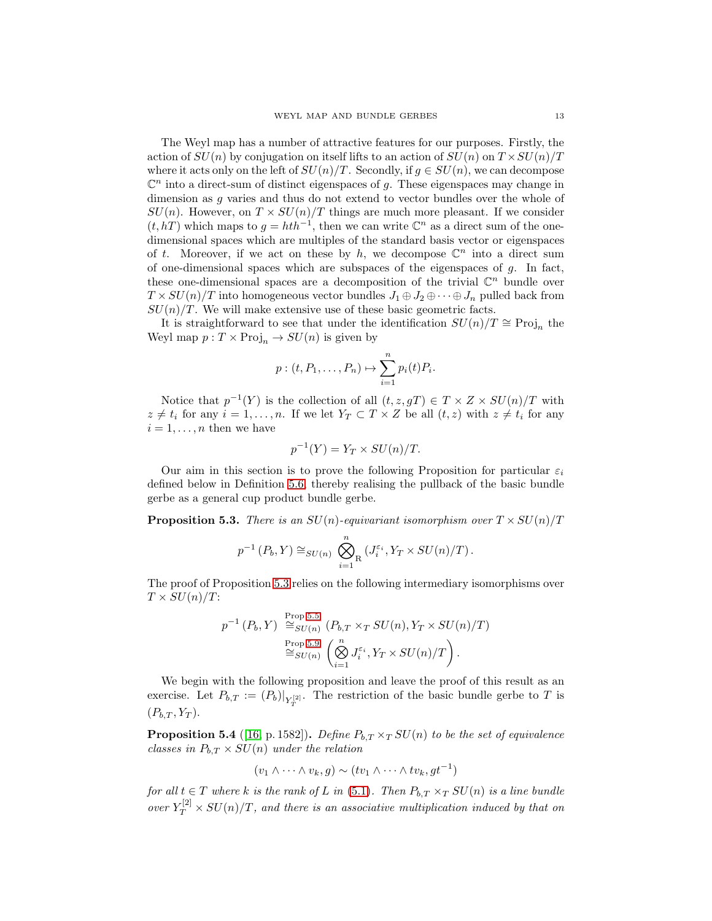The Weyl map has a number of attractive features for our purposes. Firstly, the action of  $SU(n)$  by conjugation on itself lifts to an action of  $SU(n)$  on  $T \times SU(n)/T$ where it acts only on the left of  $SU(n)/T$ . Secondly, if  $g \in SU(n)$ , we can decompose  $\mathbb{C}^n$  into a direct-sum of distinct eigenspaces of g. These eigenspaces may change in dimension as g varies and thus do not extend to vector bundles over the whole of  $SU(n)$ . However, on  $T \times SU(n)/T$  things are much more pleasant. If we consider  $(t, hT)$  which maps to  $g = hth^{-1}$ , then we can write  $\mathbb{C}^n$  as a direct sum of the onedimensional spaces which are multiples of the standard basis vector or eigenspaces of t. Moreover, if we act on these by h, we decompose  $\mathbb{C}^n$  into a direct sum of one-dimensional spaces which are subspaces of the eigenspaces of  $g$ . In fact, these one-dimensional spaces are a decomposition of the trivial  $\mathbb{C}^n$  bundle over  $T \times SU(n)/T$  into homogeneous vector bundles  $J_1 \oplus J_2 \oplus \cdots \oplus J_n$  pulled back from  $SU(n)/T$ . We will make extensive use of these basic geometric facts.

It is straightforward to see that under the identification  $SU(n)/T \cong \text{Proj}_n$  the Weyl map  $p: T \times \text{Proj}_n \to SU(n)$  is given by

$$
p:(t, P_1, \ldots, P_n) \mapsto \sum_{i=1}^n p_i(t) P_i.
$$

Notice that  $p^{-1}(Y)$  is the collection of all  $(t, z, gT) \in T \times Z \times SU(n)/T$  with  $z \neq t_i$  for any  $i = 1, \ldots, n$ . If we let  $Y_T \subset T \times Z$  be all  $(t, z)$  with  $z \neq t_i$  for any  $i = 1, \ldots, n$  then we have

$$
p^{-1}(Y) = Y_T \times SU(n)/T.
$$

Our aim in this section is to prove the following Proposition for particular  $\varepsilon_i$ defined below in Definition [5.6,](#page-13-0) thereby realising the pullback of the basic bundle gerbe as a general cup product bundle gerbe.

<span id="page-12-0"></span>**Proposition 5.3.** There is an  $SU(n)$ -equivariant isomorphism over  $T \times SU(n)/T$ 

$$
p^{-1}(P_b, Y) \cong_{SU(n)} \bigotimes_{i=1}^n (J_i^{\varepsilon_i}, Y_T \times SU(n)/T).
$$

The proof of Proposition [5.3](#page-12-0) relies on the following intermediary isomorphisms over  $T \times SU(n)/T$ :

$$
p^{-1}(P_b, Y) \stackrel{\text{Prop 5.5}}{\cong} \mathcal{S}U(n) (P_{b,T} \times_T \mathcal{S}U(n), Y_T \times \mathcal{S}U(n)/T)
$$
  

$$
\stackrel{\text{Prop 5.9}}{\cong} \mathcal{S}U(n) \left( \bigotimes_{i=1}^n J_i^{\varepsilon_i}, Y_T \times \mathcal{S}U(n)/T \right).
$$

We begin with the following proposition and leave the proof of this result as an exercise. Let  $P_{b,T} := (P_b)|_{Y_T^{[2]}}$ . The restriction of the basic bundle gerbe to T is  $(P_{b,T}, Y_T)$ .

**Proposition 5.4** ([\[16,](#page-25-0) p. 1582]). Define  $P_{b,T} \times_T SU(n)$  to be the set of equivalence classes in  $P_{b,T} \times SU(n)$  under the relation

$$
(v_1 \wedge \cdots \wedge v_k, g) \sim (tv_1 \wedge \cdots \wedge tv_k, gt^{-1})
$$

for all  $t \in T$  where k is the rank of L in [\(5.1\)](#page-11-3). Then  $P_{b,T} \times_T SU(n)$  is a line bundle over  $Y_T^{[2]} \times SU(n)/T$ , and there is an associative multiplication induced by that on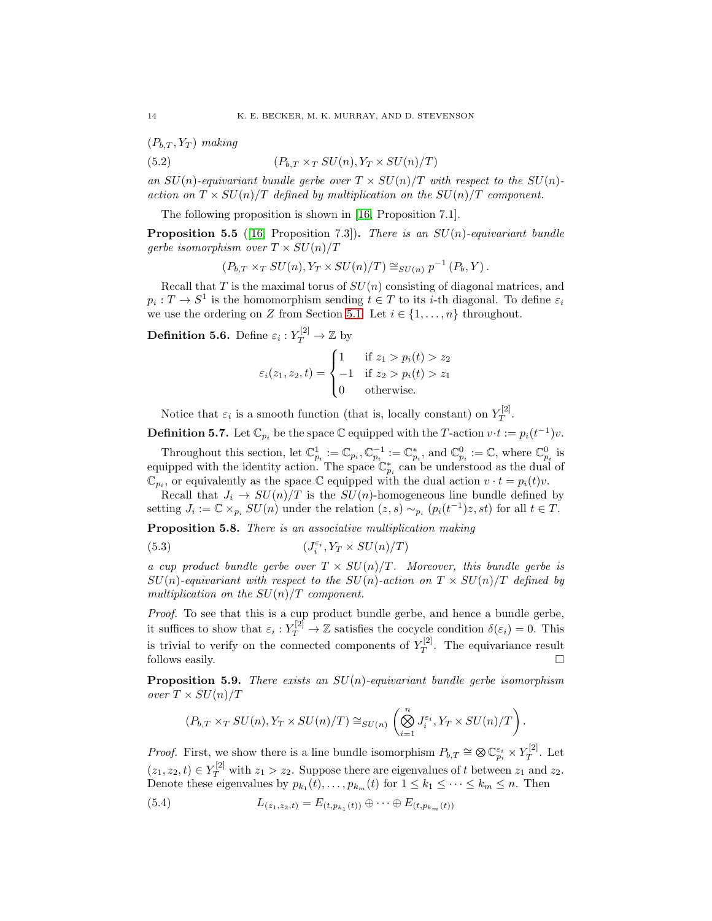$(P_{b,T}, Y_T)$  making

(5.2) 
$$
(P_{b,T} \times_T SU(n), Y_T \times SU(n)/T)
$$

an  $SU(n)$ -equivariant bundle gerbe over  $T \times SU(n)/T$  with respect to the  $SU(n)$ action on  $T \times SU(n)/T$  defined by multiplication on the  $SU(n)/T$  component.

The following proposition is shown in [\[16,](#page-25-0) Proposition 7.1].

<span id="page-13-1"></span>**Proposition 5.5** ([\[16,](#page-25-0) Proposition 7.3]). There is an  $SU(n)$ -equivariant bundle gerbe isomorphism over  $T \times SU(n)/T$ 

$$
(P_{b,T} \times_T SU(n), Y_T \times SU(n)/T) \cong_{SU(n)} p^{-1}(P_b, Y).
$$

Recall that  $T$  is the maximal torus of  $SU(n)$  consisting of diagonal matrices, and  $p_i: T \to S^1$  is the homomorphism sending  $t \in T$  to its *i*-th diagonal. To define  $\varepsilon_i$ we use the ordering on Z from Section [5.1.](#page-10-1) Let  $i \in \{1, ..., n\}$  throughout.

<span id="page-13-0"></span>**Definition 5.6.** Define  $\varepsilon_i: Y_T^{[2]} \to \mathbb{Z}$  by

$$
\varepsilon_i(z_1, z_2, t) = \begin{cases}\n1 & \text{if } z_1 > p_i(t) > z_2 \\
-1 & \text{if } z_2 > p_i(t) > z_1 \\
0 & \text{otherwise.} \n\end{cases}
$$

Notice that  $\varepsilon_i$  is a smooth function (that is, locally constant) on  $Y_T^{[2]}$  $T^{[4]}$ .

**Definition 5.7.** Let  $\mathbb{C}_{p_i}$  be the space  $\mathbb{C}$  equipped with the T-action  $v \cdot t := p_i(t^{-1})v$ .

Throughout this section, let  $\mathbb{C}_{p_i}^1 := \mathbb{C}_{p_i}, \mathbb{C}_{p_i}^{-1} := \mathbb{C}_{p_i}^*,$  and  $\mathbb{C}_{p_i}^0 := \mathbb{C}$ , where  $\mathbb{C}_{p_i}^0$  is equipped with the identity action. The space  $\mathbb{C}_{p_i}^*$  can be understood as the dual of  $\mathbb{C}_{p_i}$ , or equivalently as the space  $\mathbb C$  equipped with the dual action  $v \cdot t = p_i(t)v$ .

Recall that  $J_i \to SU(n)/T$  is the  $SU(n)$ -homogeneous line bundle defined by setting  $J_i := \mathbb{C} \times_{p_i} SU(n)$  under the relation  $(z, s) \sim_{p_i} (p_i(t^{-1})z, st)$  for all  $t \in T$ .

Proposition 5.8. There is an associative multiplication making

<span id="page-13-4"></span>(5.3) 
$$
(J_i^{\varepsilon_i}, Y_T \times SU(n)/T)
$$

a cup product bundle gerbe over  $T \times SU(n)/T$ . Moreover, this bundle gerbe is  $SU(n)$ -equivariant with respect to the  $SU(n)$ -action on  $T \times SU(n)/T$  defined by multiplication on the  $SU(n)/T$  component.

Proof. To see that this is a cup product bundle gerbe, and hence a bundle gerbe, it suffices to show that  $\varepsilon_i: Y_T^{[2]} \to \mathbb{Z}$  satisfies the cocycle condition  $\delta(\varepsilon_i) = 0$ . This is trivial to verify on the connected components of  $Y_T^{[2]}$  $T^{[2]}$ . The equivariance result follows easily.  $\Box$ 

<span id="page-13-2"></span>**Proposition 5.9.** There exists an  $SU(n)$ -equivariant bundle gerbe isomorphism over  $T \times SU(n)/T$ 

$$
(P_{b,T} \times_T SU(n), Y_T \times SU(n)/T) \cong_{SU(n)} \left( \bigotimes_{i=1}^n J_i^{\varepsilon_i}, Y_T \times SU(n)/T \right).
$$

*Proof.* First, we show there is a line bundle isomorphism  $P_{b,T} \cong \bigotimes \mathbb{C}_{p_i}^{\varepsilon_i} \times Y_T^{[2]}$  $T^{[2]}$ . Let  $(z_1, z_2, t) \in Y_T^{[2]}$  with  $z_1 > z_2$ . Suppose there are eigenvalues of t between  $z_1$  and  $z_2$ . Denote these eigenvalues by  $p_{k_1}(t), \ldots, p_{k_m}(t)$  for  $1 \leq k_1 \leq \cdots \leq k_m \leq n$ . Then

<span id="page-13-3"></span>(5.4) 
$$
L_{(z_1,z_2,t)} = E_{(t,p_{k_1}(t))} \oplus \cdots \oplus E_{(t,p_{k_m}(t))}
$$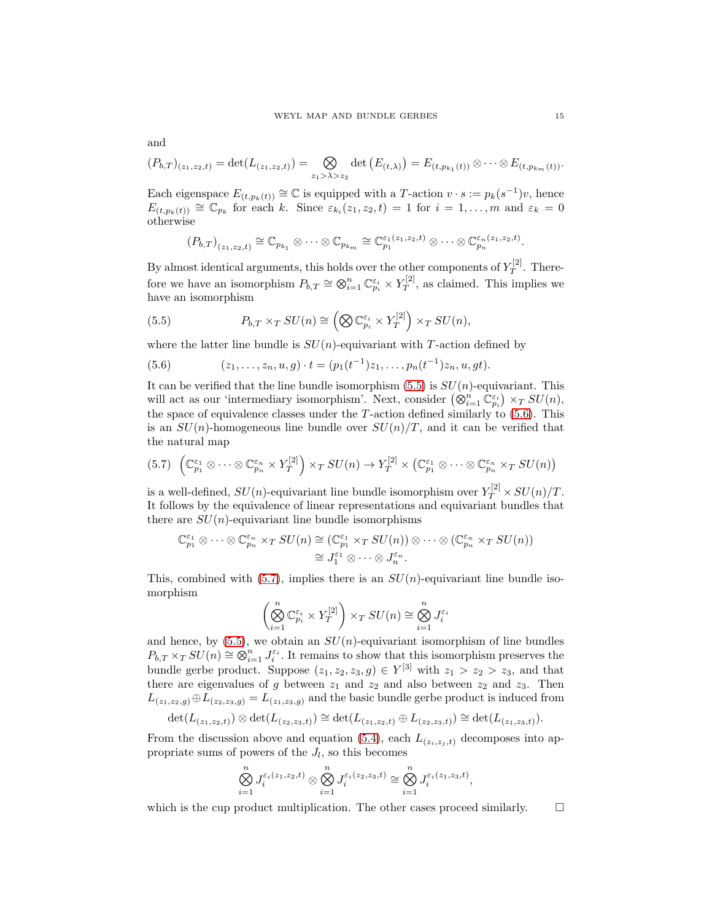$$
(P_{b,T})_{(z_1,z_2,t)} = \det(L_{(z_1,z_2,t)}) = \bigotimes_{z_1 > \lambda > z_2} \det(E_{(t,\lambda)}) = E_{(t,p_{k_1}(t))} \otimes \cdots \otimes E_{(t,p_{k_m}(t))}.
$$

Each eigenspace  $E_{(t,p_k(t))} \cong \mathbb{C}$  is equipped with a T-action  $v \cdot s := p_k(s^{-1})v$ , hence  $E_{(t,p_k(t))} \cong \mathbb{C}_{p_k}$  for each k. Since  $\varepsilon_{k_i}(z_1,z_2,t) = 1$  for  $i = 1,\ldots,m$  and  $\varepsilon_k = 0$ otherwise

$$
(P_{b,T})_{(z_1,z_2,t)} \cong \mathbb{C}_{p_{k_1}} \otimes \cdots \otimes \mathbb{C}_{p_{k_m}} \cong \mathbb{C}_{p_1}^{\varepsilon_1(z_1,z_2,t)} \otimes \cdots \otimes \mathbb{C}_{p_n}^{\varepsilon_n(z_1,z_2,t)}.
$$

By almost identical arguments, this holds over the other components of  $Y_T^{[2]}$  $T^{[2]}$ . Therefore we have an isomorphism  $P_{b,T} \cong \bigotimes_{i=1}^{n} \mathbb{C}_{p_i}^{\varepsilon_i} \times Y_T^{[2]}$  $T^{[2]}$ , as claimed. This implies we have an isomorphism

<span id="page-14-0"></span>(5.5) 
$$
P_{b,T} \times_T SU(n) \cong \left( \bigotimes \mathbb{C}_{p_i}^{\varepsilon_i} \times Y_T^{[2]} \right) \times_T SU(n),
$$

where the latter line bundle is  $SU(n)$ -equivariant with T-action defined by

<span id="page-14-1"></span>(5.6)  $(z_1, \ldots, z_n, u, g) \cdot t = (p_1(t^{-1})z_1, \ldots, p_n(t^{-1})z_n, u, gt).$ 

It can be verified that the line bundle isomorphism  $(5.5)$  is  $SU(n)$ -equivariant. This will act as our 'intermediary isomorphism'. Next, consider  $(\otimes_{i=1}^n \mathbb{C}_{p_i}^{\varepsilon_i}) \times_T SU(n)$ , the space of equivalence classes under the  $T$ -action defined similarly to  $(5.6)$ . This is an  $SU(n)$ -homogeneous line bundle over  $SU(n)/T$ , and it can be verified that the natural map

<span id="page-14-2"></span>
$$
(5.7) \left(\mathbb{C}_{p_1}^{\varepsilon_1} \otimes \cdots \otimes \mathbb{C}_{p_n}^{\varepsilon_n} \times Y_T^{[2]}\right) \times_T SU(n) \to Y_T^{[2]} \times \left(\mathbb{C}_{p_1}^{\varepsilon_1} \otimes \cdots \otimes \mathbb{C}_{p_n}^{\varepsilon_n} \times_T SU(n)\right)
$$

is a well-defined,  $SU(n)$ -equivariant line bundle isomorphism over  $Y_T^{[2]} \times SU(n)/T$ . It follows by the equivalence of linear representations and equivariant bundles that there are  $SU(n)$ -equivariant line bundle isomorphisms

$$
\mathbb{C}_{p_1}^{\varepsilon_1} \otimes \cdots \otimes \mathbb{C}_{p_n}^{\varepsilon_n} \times_T SU(n) \cong (\mathbb{C}_{p_1}^{\varepsilon_1} \times_T SU(n)) \otimes \cdots \otimes (\mathbb{C}_{p_n}^{\varepsilon_n} \times_T SU(n))
$$

$$
\cong J_1^{\varepsilon_1} \otimes \cdots \otimes J_n^{\varepsilon_n}.
$$

This, combined with [\(5.7\)](#page-14-2), implies there is an  $SU(n)$ -equivariant line bundle isomorphism

$$
\left(\bigotimes_{i=1}^n \mathbb{C}_{p_i}^{\varepsilon_i} \times Y_T^{[2]}\right) \times_T SU(n) \cong \bigotimes_{i=1}^n J_i^{\varepsilon_i}
$$

and hence, by  $(5.5)$ , we obtain an  $SU(n)$ -equivariant isomorphism of line bundles  $P_{b,T} \times_T SU(n) \cong \bigotimes_{i=1}^n J_i^{\varepsilon_i}$ . It remains to show that this isomorphism preserves the bundle gerbe product. Suppose  $(z_1, z_2, z_3, g) \in Y^{[3]}$  with  $z_1 > z_2 > z_3$ , and that there are eigenvalues of g between  $z_1$  and  $z_2$  and also between  $z_2$  and  $z_3$ . Then  $L_{(z_1,z_2,g)} \oplus L_{(z_2,z_3,g)} = L_{(z_1,z_3,g)}$  and the basic bundle gerbe product is induced from

$$
\det(L_{(z_1,z_2,t)})\otimes \det(L_{(z_2,z_3,t)})\cong \det(L_{(z_1,z_2,t)}\oplus L_{(z_2,z_3,t)})\cong \det(L_{(z_1,z_3,t)}).
$$

From the discussion above and equation [\(5.4\)](#page-13-3), each  $L_{(z_i,z_j,t)}$  decomposes into appropriate sums of powers of the  $J_l$ , so this becomes

$$
\bigotimes_{i=1}^n J_i^{\varepsilon_i(z_1,z_2,t)} \otimes \bigotimes_{i=1}^n J_i^{\varepsilon_i(z_2,z_3,t)} \cong \bigotimes_{i=1}^n J_i^{\varepsilon_i(z_1,z_3,t)},
$$

which is the cup product multiplication. The other cases proceed similarly.  $\Box$ 

and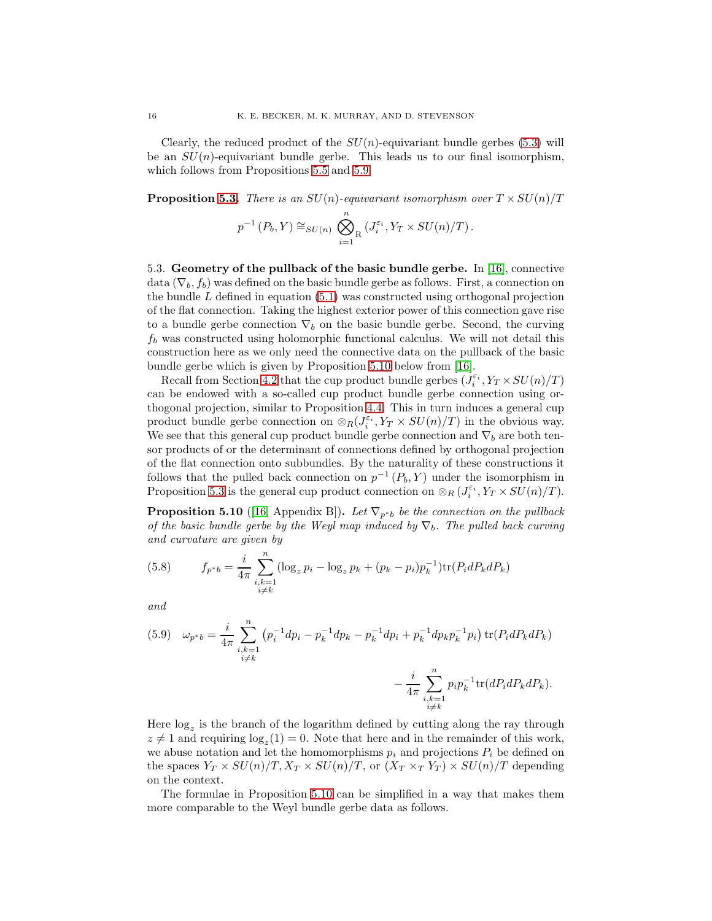Clearly, the reduced product of the  $SU(n)$ -equivariant bundle gerbes (5.[3\)](#page-13-4) will be an  $SU(n)$ -equivariant bundle gerbe. This leads us to our final isomorphism, which follows from Propositions [5.5](#page-13-1) and [5.9.](#page-13-2)

**Proposition [5.3.](#page-12-0)** There is an  $SU(n)$ -equivariant isomorphism over  $T \times SU(n)/T$ 

$$
p^{-1}(P_b, Y) \cong_{SU(n)} \bigotimes_{i=1}^n (J_i^{\varepsilon_i}, Y_T \times SU(n)/T).
$$

<span id="page-15-0"></span>5.3. Geometry of the pullback of the basic bundle gerbe. In [\[16\]](#page-25-0), connective data ( $\nabla_b$ ,  $f_b$ ) was defined on the basic bundle gerbe as follows. First, a connection on the bundle  $L$  defined in equation [\(5.1\)](#page-11-3) was constructed using orthogonal projection of the flat connection. Taking the highest exterior power of this connection gave rise to a bundle gerbe connection  $\nabla_b$  on the basic bundle gerbe. Second, the curving  $f_b$  was constructed using holomorphic functional calculus. We will not detail this construction here as we only need the connective data on the pullback of the basic bundle gerbe which is given by Proposition [5.10](#page-15-1) below from [\[16\]](#page-25-0).

Recall from Section [4.2](#page-8-2) that the cup product bundle gerbes  $(\tilde{J}_i^{\varepsilon_i}, Y_T \times SU(n)/T)$ can be endowed with a so-called cup product bundle gerbe connection using orthogonal projection, similar to Proposition [4.4.](#page-9-2) This in turn induces a general cup product bundle gerbe connection on  $\otimes_R (J_i^{\varepsilon_i}, Y_T \times SU(n)/T)$  in the obvious way. We see that this general cup product bundle gerbe connection and  $\nabla_b$  are both tensor products of or the determinant of connections defined by orthogonal projection of the flat connection onto subbundles. By the naturality of these constructions it follows that the pulled back connection on  $p^{-1}(P_b, Y)$  under the isomorphism in Proposition [5.3](#page-12-0) is the general cup product connection on  $\otimes_R (J_i^{\varepsilon_i}, Y_T \times SU(n)/T)$ .

<span id="page-15-1"></span>**Proposition 5.10** ([\[16,](#page-25-0) Appendix B]). Let  $\nabla_{p*b}$  be the connection on the pullback of the basic bundle gerbe by the Weyl map induced by  $\nabla_b$ . The pulled back curving and curvature are given by

<span id="page-15-2"></span>(5.8) 
$$
f_{p^*b} = \frac{i}{4\pi} \sum_{\substack{i,k=1\\i\neq k}}^n (\log_z p_i - \log_z p_k + (p_k - p_i)p_k^{-1}) \text{tr}(P_i dP_k dP_k)
$$

and

<span id="page-15-3"></span>(5.9) 
$$
\omega_{p^*b} = \frac{i}{4\pi} \sum_{\substack{i,k=1 \ i \neq k}}^n (p_i^{-1}dp_i - p_k^{-1}dp_k - p_k^{-1}dp_i + p_k^{-1}dp_k p_k^{-1}p_i) \operatorname{tr}(P_i dP_k dP_k) - \frac{i}{4\pi} \sum_{\substack{i,k=1 \ i \neq k}}^n p_i p_k^{-1} \operatorname{tr}(dP_i dP_k dP_k).
$$

Here  $\log_z$  is the branch of the logarithm defined by cutting along the ray through  $z \neq 1$  and requiring  $\log_z(1) = 0$ . Note that here and in the remainder of this work, we abuse notation and let the homomorphisms  $p_i$  and projections  $P_i$  be defined on the spaces  $Y_T \times SU(n)/T$ ,  $X_T \times SU(n)/T$ , or  $(X_T \times_T Y_T) \times SU(n)/T$  depending on the context.

The formulae in Proposition [5.10](#page-15-1) can be simplified in a way that makes them more comparable to the Weyl bundle gerbe data as follows.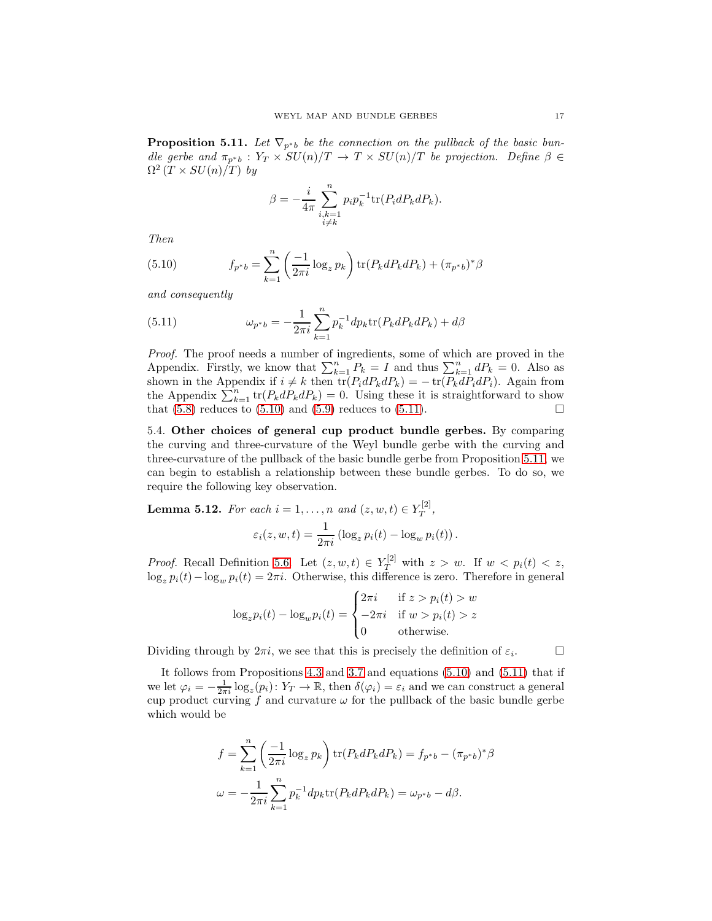<span id="page-16-3"></span>**Proposition 5.11.** Let  $\nabla_{p^*b}$  be the connection on the pullback of the basic bundle gerbe and  $\pi_{p^*b}: Y_T \times SU(n)/T \to T \times SU(n)/T$  be projection. Define  $\beta \in$  $\Omega^2(T \times SU(n)/T)$  by

$$
\beta = -\frac{i}{4\pi} \sum_{\substack{i,k=1\\i\neq k}}^n p_i p_k^{-1} \text{tr}(P_i dP_k dP_k).
$$

Then

<span id="page-16-1"></span>(5.10) 
$$
f_{p^*b} = \sum_{k=1}^n \left(\frac{-1}{2\pi i} \log_z p_k\right) \text{tr}(P_k dP_k dP_k) + (\pi_{p^*b})^* \beta
$$

and consequently

<span id="page-16-2"></span>(5.11) 
$$
\omega_{p^*b} = -\frac{1}{2\pi i} \sum_{k=1}^n p_k^{-1} dp_k \text{tr}(P_k dP_k dP_k) + d\beta
$$

Proof. The proof needs a number of ingredients, some of which are proved in the Appendix. Firstly, we know that  $\sum_{k=1}^{n} P_k = I$  and thus  $\sum_{k=1}^{n} dP_k = 0$ . Also as shown in the Appendix if  $i \neq k$  then  $\text{tr}(P_i dP_k dP_k) = -\text{tr}(P_k dP_i dP_i)$ . Again from the Appendix  $\sum_{k=1}^{n} tr(P_k dP_k dP_k) = 0$ . Using these it is straightforward to show that  $(5.8)$  reduces to  $(5.10)$  and  $(5.9)$  reduces to  $(5.11)$ .

<span id="page-16-0"></span>5.4. Other choices of general cup product bundle gerbes. By comparing the curving and three-curvature of the Weyl bundle gerbe with the curving and three-curvature of the pullback of the basic bundle gerbe from Proposition [5.11,](#page-16-3) we can begin to establish a relationship between these bundle gerbes. To do so, we require the following key observation.

<span id="page-16-4"></span>**Lemma 5.12.** For each  $i = 1, \ldots, n$  and  $(z, w, t) \in Y_T^{[2]}$  $T^{[2]},$  $\varepsilon_i(z, w, t) = \frac{1}{2\pi i} \left( \log_z p_i(t) - \log_w p_i(t) \right).$ 

*Proof.* Recall Definition [5.6.](#page-13-0) Let  $(z, w, t) \in Y_T^{[2]}$  with  $z > w$ . If  $w < p_i(t) < z$ ,  $\log_z p_i(t) - \log_w p_i(t) = 2\pi i$ . Otherwise, this difference is zero. Therefore in general

$$
\log_z p_i(t) - \log_w p_i(t) = \begin{cases} 2\pi i & \text{if } z > p_i(t) > w \\ -2\pi i & \text{if } w > p_i(t) > z \\ 0 & \text{otherwise.} \end{cases}
$$

Dividing through by  $2\pi i$ , we see that this is precisely the definition of  $\varepsilon_i$ .

 $\Box$ 

It follows from Propositions [4.3](#page-9-1) and [3.7](#page-7-1) and equations [\(5.10\)](#page-16-1) and [\(5.11\)](#page-16-2) that if we let  $\varphi_i = -\frac{1}{2\pi i} \log_z(p_i)$ :  $Y_T \to \mathbb{R}$ , then  $\delta(\varphi_i) = \varepsilon_i$  and we can construct a general cup product curving f and curvature  $\omega$  for the pullback of the basic bundle gerbe which would be

$$
f = \sum_{k=1}^{n} \left( \frac{-1}{2\pi i} \log_z p_k \right) \text{tr}(P_k dP_k dP_k) = f_{p^*b} - (\pi_{p^*b})^* \beta
$$
  

$$
\omega = -\frac{1}{2\pi i} \sum_{k=1}^{n} p_k^{-1} dp_k \text{tr}(P_k dP_k dP_k) = \omega_{p^*b} - d\beta.
$$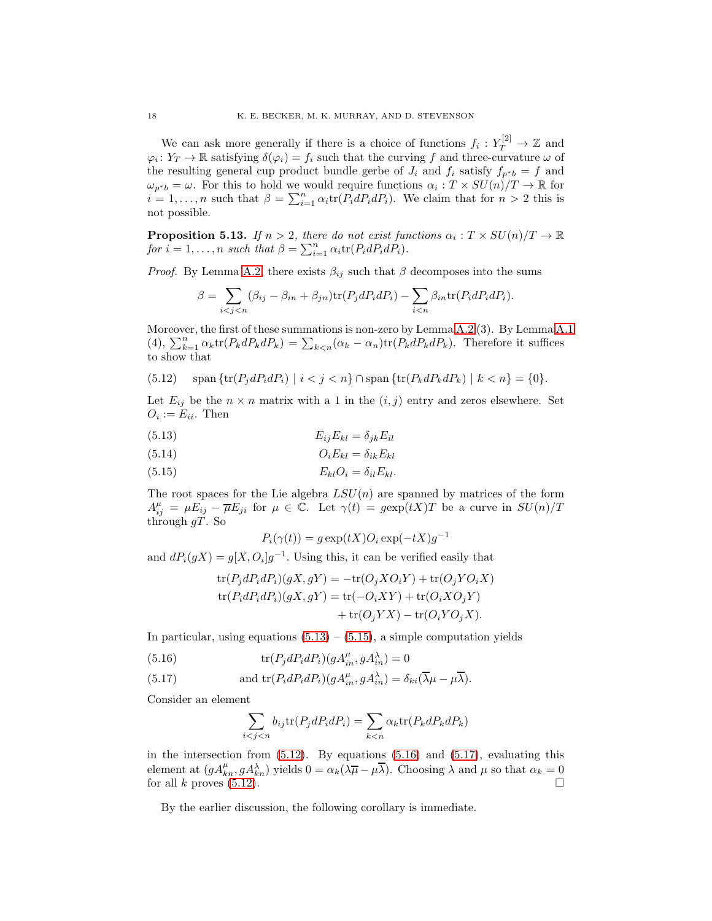We can ask more generally if there is a choice of functions  $f_i: Y_T^{[2]} \to \mathbb{Z}$  and  $\varphi_i: Y_T \to \mathbb{R}$  satisfying  $\delta(\varphi_i) = f_i$  such that the curving f and three-curvature  $\omega$  of the resulting general cup product bundle gerbe of  $J_i$  and  $f_i$  satisfy  $f_{p^*b} = f$  and  $\omega_{p^*b} = \omega$ . For this to hold we would require functions  $\alpha_i : T \times SU(n)/T \to \mathbb{R}$  for  $i = 1, \ldots, n$  such that  $\beta = \sum_{i=1}^{n} \alpha_i \text{tr}(P_i dP_i dP_i)$ . We claim that for  $n > 2$  this is not possible.

**Proposition 5.13.** If  $n > 2$ , there do not exist functions  $\alpha_i : T \times SU(n)/T \to \mathbb{R}$ for  $i = 1, ..., n$  such that  $\beta = \sum_{i=1}^{n} \alpha_i \text{tr}(P_i dP_i dP_i)$ .

*Proof.* By Lemma [A.2,](#page-23-0) there exists  $\beta_{ij}$  such that  $\beta$  decomposes into the sums

$$
\beta = \sum_{i < j < n} (\beta_{ij} - \beta_{in} + \beta_{jn}) \text{tr}(P_j dP_i dP_i) - \sum_{i < n} \beta_{in} \text{tr}(P_i dP_i dP_i).
$$

Moreover, the first of these summations is non-zero by Lemma [A.2](#page-23-0) (3). By Lemma [A.1](#page-22-1) (4),  $\sum_{k=1}^{n} \alpha_k \text{tr}(P_k dP_k dP_k) = \sum_{k \leq n} (\alpha_k - \alpha_n) \text{tr}(P_k dP_k dP_k)$ . Therefore it suffices to show that

<span id="page-17-2"></span>(5.12) 
$$
\text{span}\,\{\text{tr}(P_j dP_i dP_i) \mid i < j < n\} \cap \text{span}\,\{\text{tr}(P_k dP_k dP_k) \mid k < n\} = \{0\}.
$$

Let  $E_{ij}$  be the  $n \times n$  matrix with a 1 in the  $(i, j)$  entry and zeros elsewhere. Set  $O_i := E_{ii}$ . Then

<span id="page-17-0"></span>
$$
(5.13)\t\t\t E_{ij}E_{kl}=\delta_{jk}E_{il}
$$

$$
(5.14) \t\t\t OiEkl = \deltaikEkl
$$

<span id="page-17-1"></span>
$$
(5.15) \t\t\t E_{kl}O_i = \delta_{il}E_{kl}.
$$

The root spaces for the Lie algebra  $LSU(n)$  are spanned by matrices of the form  $A_{ij}^{\mu} = \mu E_{ij} - \overline{\mu} E_{ji}$  for  $\mu \in \overline{\mathbb{C}}$ . Let  $\gamma(t) = g \exp(tX)T$  be a curve in  $SU(n)/T$ through  $gT$ . So

$$
P_i(\gamma(t)) = g \exp(tX) O_i \exp(-tX) g^{-1}
$$

and  $dP_i(gX) = g[X, O_i]g^{-1}$ . Using this, it can be verified easily that

$$
tr(P_j dP_i dP_i)(gX, gY) = -tr(O_j X O_i Y) + tr(O_j Y O_i X)
$$
  
\n
$$
tr(P_i dP_i dP_i)(gX, gY) = tr(-O_i XY) + tr(O_i X O_j Y)
$$
  
\n
$$
+ tr(O_j Y X) - tr(O_i Y O_j X).
$$

In particular, using equations  $(5.13) - (5.15)$  $(5.13) - (5.15)$ , a simple computation yields

<span id="page-17-3"></span>(5.16) 
$$
\text{tr}(P_j dP_i dP_i)(gA_{in}^{\mu}, gA_{in}^{\lambda}) = 0
$$

<span id="page-17-4"></span>(5.17) and 
$$
\text{tr}(P_i dP_i dP_i)(gA_{in}^{\mu}, gA_{in}^{\lambda}) = \delta_{ki}(\overline{\lambda}\mu - \mu\overline{\lambda}).
$$

Consider an element

$$
\sum_{i < j < n} b_{ij} \text{tr}(P_j dP_i dP_i) = \sum_{k < n} \alpha_k \text{tr}(P_k dP_k dP_k)
$$

in the intersection from  $(5.12)$ . By equations  $(5.16)$  and  $(5.17)$ , evaluating this element at  $(gA_{kn}^{\mu}, gA_{kn}^{\lambda})$  yields  $0 = \alpha_k(\lambda \overline{\mu} - \mu \overline{\lambda})$ . Choosing  $\lambda$  and  $\mu$  so that  $\alpha_k = 0$ for all k proves  $(5.12)$ .

By the earlier discussion, the following corollary is immediate.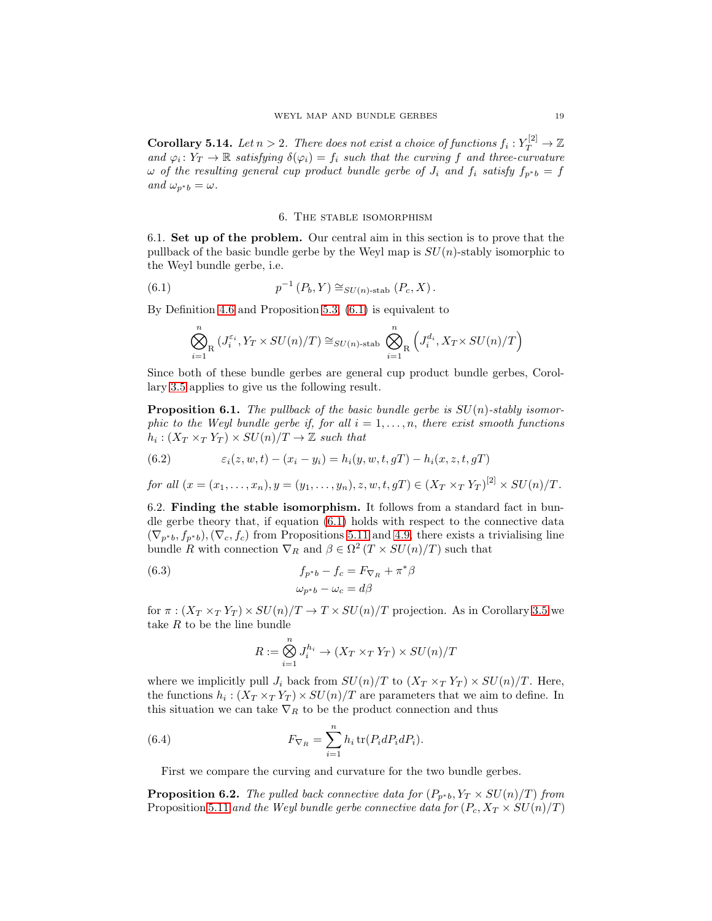**Corollary 5.14.** Let  $n > 2$ . There does not exist a choice of functions  $f_i: Y_T^{[2]} \to \mathbb{Z}$ and  $\varphi_i \colon Y_T \to \mathbb{R}$  satisfying  $\delta(\varphi_i) = f_i$  such that the curving f and three-curvature  $\omega$  of the resulting general cup product bundle gerbe of  $J_i$  and  $f_i$  satisfy  $f_{p^*b} = f$ and  $\omega_{p^*b} = \omega$ .

#### 6. The stable isomorphism

<span id="page-18-1"></span><span id="page-18-0"></span>6.1. Set up of the problem. Our central aim in this section is to prove that the pullback of the basic bundle gerbe by the Weyl map is  $SU(n)$ -stably isomorphic to the Weyl bundle gerbe, i.e.

<span id="page-18-3"></span>(6.1) 
$$
p^{-1}(P_b, Y) \cong_{SU(n)\text{-stab}} (P_c, X).
$$

By Definition [4.6](#page-9-4) and Proposition [5.3,](#page-12-0) [\(6.1\)](#page-18-3) is equivalent to

$$
\bigotimes_{i=1}^n \left( J_i^{\varepsilon_i}, Y_T \times SU(n)/T \right) \cong_{SU(n)\text{-stab}} \bigotimes_{i=1}^n \left( J_i^{d_i}, X_T \times SU(n)/T \right)
$$

Since both of these bundle gerbes are general cup product bundle gerbes, Corollary [3.5](#page-6-3) applies to give us the following result.

<span id="page-18-7"></span>**Proposition 6.1.** The pullback of the basic bundle gerbe is  $SU(n)$ -stably isomorphic to the Weyl bundle gerbe if, for all  $i = 1, \ldots, n$ , there exist smooth functions  $h_i: (X_T \times_T Y_T) \times SU(n)/T \rightarrow \mathbb{Z}$  such that

<span id="page-18-6"></span>(6.2) 
$$
\varepsilon_i(z, w, t) - (x_i - y_i) = h_i(y, w, t, gT) - h_i(x, z, t, gT)
$$

<span id="page-18-2"></span>for all  $(x = (x_1, ..., x_n), y = (y_1, ..., y_n), z, w, t, gT) \in (X_T \times_T Y_T)^{[2]} \times SU(n)/T$ .

6.2. Finding the stable isomorphism. It follows from a standard fact in bundle gerbe theory that, if equation  $(6.1)$  holds with respect to the connective data  $(\nabla_{p^*b}, f_{p^*b}), (\nabla_c, f_c)$  from Propositions [5.11](#page-16-3) and [4.9,](#page-10-3) there exists a trivialising line bundle R with connection  $\nabla_R$  and  $\beta \in \Omega^2(T \times SU(n)/T)$  such that

<span id="page-18-4"></span>(6.3) 
$$
f_{p^*b} - f_c = F_{\nabla_R} + \pi^*\beta
$$

$$
\omega_{p^*b} - \omega_c = d\beta
$$

for  $\pi$ :  $(X_T \times_T Y_T) \times SU(n)/T \rightarrow T \times SU(n)/T$  projection. As in Corollary [3.5](#page-6-3) we take  $R$  to be the line bundle

<span id="page-18-5"></span>
$$
R := \bigotimes_{i=1}^{n} J_i^{h_i} \to (X_T \times_T Y_T) \times SU(n)/T
$$

where we implicitly pull  $J_i$  back from  $SU(n)/T$  to  $(X_T \times_T Y_T) \times SU(n)/T$ . Here, the functions  $h_i: (X_T \times_T Y_T) \times SU(n)/T$  are parameters that we aim to define. In this situation we can take  $\nabla_R$  to be the product connection and thus

(6.4) 
$$
F_{\nabla_R} = \sum_{i=1}^n h_i \operatorname{tr}(P_i dP_i dP_i).
$$

First we compare the curving and curvature for the two bundle gerbes.

**Proposition 6.2.** The pulled back connective data for  $(P_{p^*b}, Y_T \times SU(n)/T)$  from Proposition [5.11](#page-16-3) and the Weyl bundle gerbe connective data for  $(P_c, X_T \times SU(n)/T)$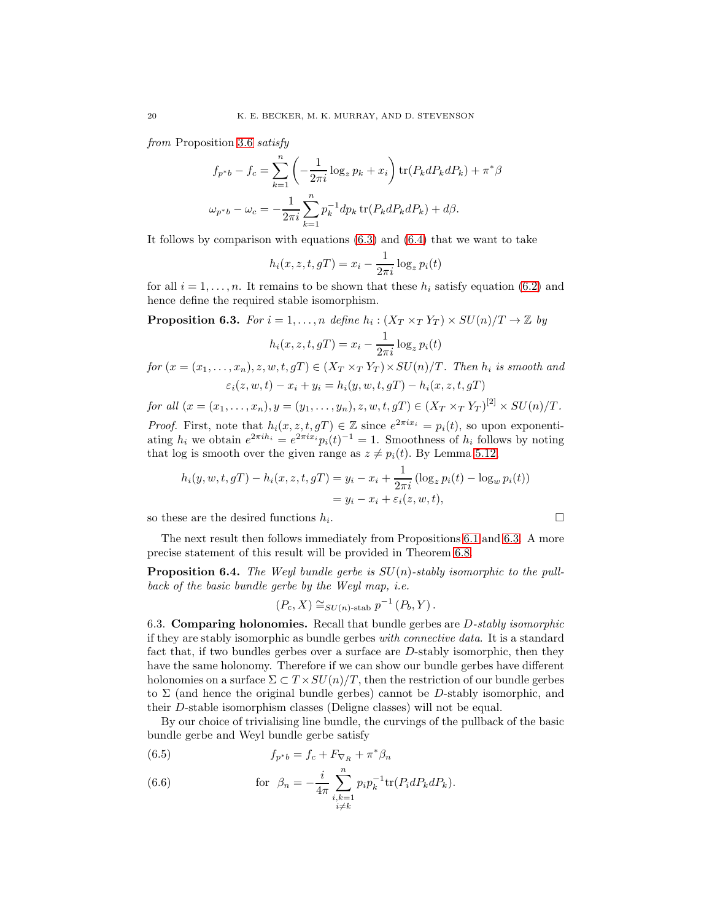from Proposition [3.6](#page-7-0) satisfy

$$
f_{p^*b} - f_c = \sum_{k=1}^n \left( -\frac{1}{2\pi i} \log_z p_k + x_i \right) \text{tr}(P_k dP_k dP_k) + \pi^* \beta
$$
  

$$
\omega_{p^*b} - \omega_c = -\frac{1}{2\pi i} \sum_{k=1}^n p_k^{-1} dp_k \text{tr}(P_k dP_k dP_k) + d\beta.
$$

It follows by comparison with equations  $(6.3)$  and  $(6.4)$  that we want to take

$$
h_i(x, z, t, gT) = x_i - \frac{1}{2\pi i} \log_z p_i(t)
$$

for all  $i = 1, \ldots, n$ . It remains to be shown that these  $h_i$  satisfy equation [\(6.2\)](#page-18-6) and hence define the required stable isomorphism.

<span id="page-19-1"></span>**Proposition 6.3.** For  $i = 1, ..., n$  define  $h_i : (X_T \times_T Y_T) \times SU(n)/T \to \mathbb{Z}$  by

$$
h_i(x, z, t, gT) = x_i - \frac{1}{2\pi i} \log_z p_i(t)
$$

for  $(x = (x_1, \ldots, x_n), z, w, t, gT) \in (X_T \times_T Y_T) \times SU(n)/T$ . Then  $h_i$  is smooth and  $\varepsilon_i(z, w, t) - x_i + y_i = h_i(y, w, t, gT) - h_i(x, z, t, gT)$ 

for all 
$$
(x = (x_1, \ldots, x_n), y = (y_1, \ldots, y_n), z, w, t, gT) \in (X_T \times_T Y_T)^{[2]} \times SU(n)/T
$$
.

*Proof.* First, note that  $h_i(x, z, t, gT) \in \mathbb{Z}$  since  $e^{2\pi i x_i} = p_i(t)$ , so upon exponentiating  $h_i$  we obtain  $e^{2\pi i h_i} = e^{2\pi i x_i} p_i(t)^{-1} = 1$ . Smoothness of  $h_i$  follows by noting that log is smooth over the given range as  $z \neq p_i(t)$ . By Lemma [5.12,](#page-16-4)

$$
h_i(y, w, t, gT) - h_i(x, z, t, gT) = y_i - x_i + \frac{1}{2\pi i} (\log_z p_i(t) - \log_w p_i(t))
$$
  
=  $y_i - x_i + \varepsilon_i(z, w, t),$ 

so these are the desired functions  $h_i$ .

$$
\qquad \qquad \Box
$$

The next result then follows immediately from Propositions [6.1](#page-18-7) and [6.3.](#page-19-1) A more precise statement of this result will be provided in Theorem [6.8.](#page-21-0)

<span id="page-19-2"></span>**Proposition 6.4.** The Weyl bundle gerbe is  $SU(n)$ -stably isomorphic to the pullback of the basic bundle gerbe by the Weyl map, i.e.

$$
(P_c, X) \cong_{SU(n)\text{-stab}} p^{-1}(P_b, Y).
$$

<span id="page-19-0"></span>6.3. **Comparing holonomies.** Recall that bundle gerbes are  $D$ -stably isomorphic if they are stably isomorphic as bundle gerbes with connective data. It is a standard fact that, if two bundles gerbes over a surface are D-stably isomorphic, then they have the same holonomy. Therefore if we can show our bundle gerbes have different holonomies on a surface  $\Sigma \subset T \times SU(n)/T$ , then the restriction of our bundle gerbes to  $\Sigma$  (and hence the original bundle gerbes) cannot be D-stably isomorphic, and their D-stable isomorphism classes (Deligne classes) will not be equal.

By our choice of trivialising line bundle, the curvings of the pullback of the basic bundle gerbe and Weyl bundle gerbe satisfy

<span id="page-19-3"></span>(6.5) 
$$
f_{p^*b} = f_c + F_{\nabla_R} + \pi^* \beta_n
$$

<span id="page-19-4"></span>(6.6) for 
$$
\beta_n = -\frac{i}{4\pi} \sum_{\substack{i,k=1 \ i \neq k}}^n p_i p_k^{-1} \text{tr}(P_i dP_k dP_k).
$$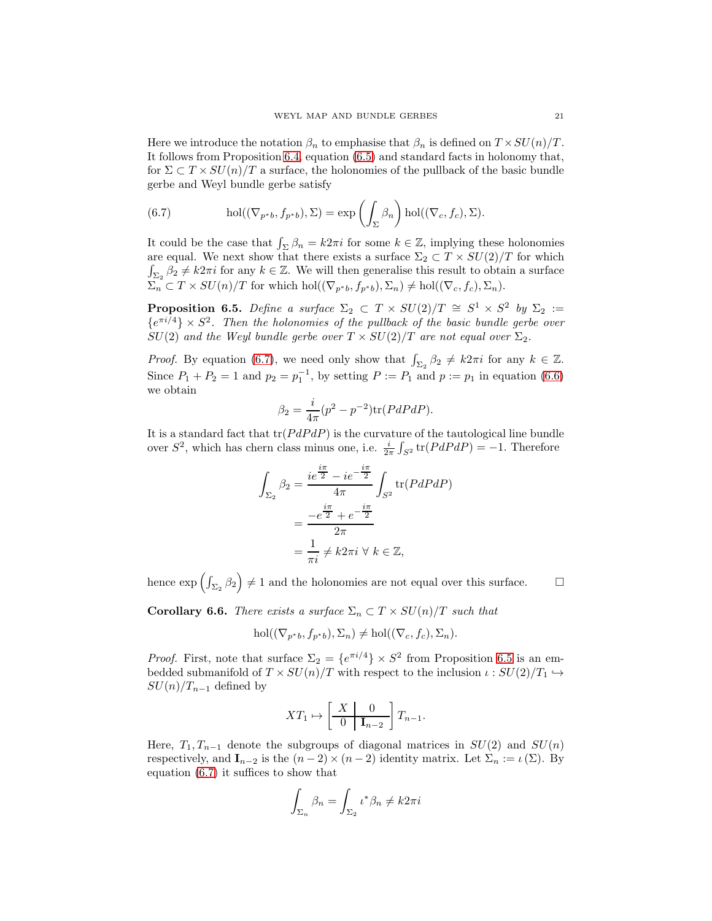Here we introduce the notation  $\beta_n$  to emphasise that  $\beta_n$  is defined on  $T \times SU(n)/T$ . It follows from Proposition [6.4,](#page-19-2) equation [\(6.5\)](#page-19-3) and standard facts in holonomy that, for  $\Sigma \subset T \times SU(n)/T$  a surface, the holonomies of the pullback of the basic bundle gerbe and Weyl bundle gerbe satisfy

<span id="page-20-0"></span>(6.7) 
$$
\operatorname{hol}((\nabla_{p^*b}, f_{p^*b}), \Sigma) = \exp\left(\int_{\Sigma} \beta_n\right) \operatorname{hol}((\nabla_c, f_c), \Sigma).
$$

It could be the case that  $\int_{\Sigma} \beta_n = k2\pi i$  for some  $k \in \mathbb{Z}$ , implying these holonomies are equal. We next show that there exists a surface  $\Sigma_2 \subset T \times SU(2)/T$  for which  $\int_{\Sigma_2} \beta_2 \neq k2\pi i$  for any  $k \in \mathbb{Z}$ . We will then generalise this result to obtain a surface  $\Sigma_n \subset T \times SU(n)/T$  for which hol $((\nabla_{p^*b}, f_{p^*b}), \Sigma_n) \neq hol((\nabla_c, f_c), \Sigma_n).$ 

<span id="page-20-1"></span>**Proposition 6.5.** Define a surface  $\Sigma_2 \subset T \times SU(2)/T \cong S^1 \times S^2$  by  $\Sigma_2 :=$  ${e^{\pi i/4}} \times S^2$ . Then the holonomies of the pullback of the basic bundle gerbe over  $SU(2)$  and the Weyl bundle gerbe over  $T \times SU(2)/T$  are not equal over  $\Sigma_2$ .

*Proof.* By equation [\(6.7\)](#page-20-0), we need only show that  $\int_{\Sigma_2} \beta_2 \neq k2\pi i$  for any  $k \in \mathbb{Z}$ . Since  $P_1 + P_2 = 1$  and  $p_2 = p_1^{-1}$ , by setting  $P := P_1$  and  $p := p_1$  in equation [\(6.6\)](#page-19-4) we obtain

$$
\beta_2 = \frac{i}{4\pi} (p^2 - p^{-2}) \text{tr}(PdPdP).
$$

It is a standard fact that  $tr(PdPdP)$  is the curvature of the tautological line bundle over  $S^2$ , which has chern class minus one, i.e.  $\frac{i}{2\pi} \int_{S^2} tr(P dP dP) = -1$ . Therefore

$$
\int_{\Sigma_2} \beta_2 = \frac{ie^{\frac{i\pi}{2}} - ie^{-\frac{i\pi}{2}}}{4\pi} \int_{S^2} tr(PdPdP)
$$

$$
= \frac{-e^{\frac{i\pi}{2}} + e^{-\frac{i\pi}{2}}}{2\pi}
$$

$$
= \frac{1}{\pi i} \neq k2\pi i \,\forall \, k \in \mathbb{Z},
$$

hence  $\exp\left(\int_{\Sigma_2} \beta_2\right) \neq 1$  and the holonomies are not equal over this surface.  $\Box$ 

**Corollary 6.6.** There exists a surface  $\Sigma_n \subset T \times SU(n)/T$  such that

$$
\mathrm{hol}((\nabla_{p^*b}, f_{p^*b}), \Sigma_n) \neq \mathrm{hol}((\nabla_c, f_c), \Sigma_n).
$$

*Proof.* First, note that surface  $\Sigma_2 = \{e^{\pi i/4}\} \times S^2$  from Proposition [6.5](#page-20-1) is an embedded submanifold of  $T \times SU(n)/T$  with respect to the inclusion  $\iota: SU(2)/T_1 \hookrightarrow$  $SU(n)/T_{n-1}$  defined by

$$
XT_1 \mapsto \left[\begin{array}{c|c} X & 0 \\ \hline 0 & \mathbf{I}_{n-2} \end{array}\right] T_{n-1}.
$$

Here,  $T_1, T_{n-1}$  denote the subgroups of diagonal matrices in  $SU(2)$  and  $SU(n)$ respectively, and  $\mathbf{I}_{n-2}$  is the  $(n-2) \times (n-2)$  identity matrix. Let  $\Sigma_n := \iota(\Sigma)$ . By equation [\(6.7\)](#page-20-0) it suffices to show that

$$
\int_{\Sigma_n} \beta_n = \int_{\Sigma_2} \iota^* \beta_n \neq k 2\pi i
$$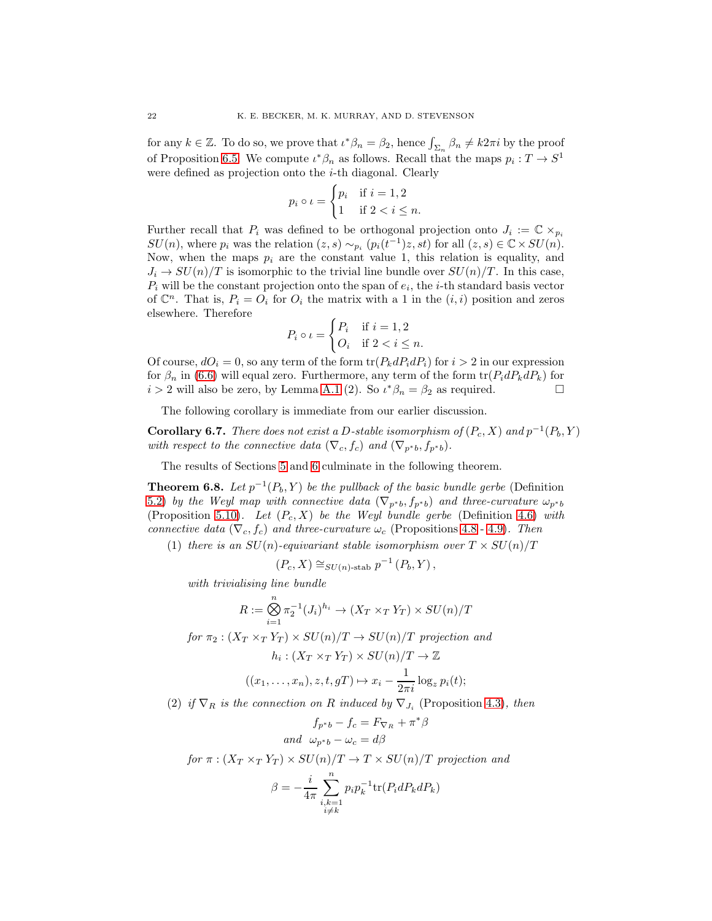for any  $k \in \mathbb{Z}$ . To do so, we prove that  $\iota^* \beta_n = \beta_2$ , hence  $\int_{\Sigma_n} \beta_n \neq k2\pi i$  by the proof of Proposition [6.5.](#page-20-1) We compute  $\iota^*\beta_n$  as follows. Recall that the maps  $p_i: T \to S^1$ were defined as projection onto the *i*-th diagonal. Clearly

$$
p_i \circ \iota = \begin{cases} p_i & \text{if } i = 1, 2 \\ 1 & \text{if } 2 < i \le n. \end{cases}
$$

Further recall that  $P_i$  was defined to be orthogonal projection onto  $J_i := \mathbb{C} \times_{p_i} I$  $SU(n)$ , where  $p_i$  was the relation  $(z, s) \sim_{p_i} (p_i(t^{-1})z, st)$  for all  $(z, s) \in \mathbb{C} \times SU(n)$ . Now, when the maps  $p_i$  are the constant value 1, this relation is equality, and  $J_i \to SU(n)/T$  is isomorphic to the trivial line bundle over  $SU(n)/T$ . In this case,  $P_i$  will be the constant projection onto the span of  $e_i$ , the *i*-th standard basis vector of  $\mathbb{C}^n$ . That is,  $P_i = O_i$  for  $O_i$  the matrix with a 1 in the  $(i, i)$  position and zeros elsewhere. Therefore

$$
P_i \circ \iota = \begin{cases} P_i & \text{if } i = 1, 2 \\ O_i & \text{if } 2 < i \le n. \end{cases}
$$

Of course,  $dO_i = 0$ , so any term of the form  $\text{tr}(P_k dP_i dP_i)$  for  $i > 2$  in our expression for  $\beta_n$  in [\(6.6\)](#page-19-4) will equal zero. Furthermore, any term of the form  $\text{tr}(P_i dP_k dP_k)$  for  $i > 2$  will also be zero, by Lemma [A.1](#page-22-1) (2). So  $\iota^* \beta_n = \beta_2$  as required.

The following corollary is immediate from our earlier discussion.

**Corollary 6.7.** There does not exist a D-stable isomorphism of  $(P_c, X)$  and  $p^{-1}(P_b, Y)$ with respect to the connective data  $(\nabla_c, f_c)$  and  $(\nabla_{p^*b}, f_{p^*b})$ .

The results of Sections [5](#page-10-0) and [6](#page-18-0) culminate in the following theorem.

<span id="page-21-0"></span>**Theorem 6.8.** Let  $p^{-1}(P_b, Y)$  be the pullback of the basic bundle gerbe (Definition [5.2\)](#page-11-4) by the Weyl map with connective data  $(\nabla_{p^*b}, f_{p^*b})$  and three-curvature  $\omega_{p^*b}$ (Proposition [5.10\)](#page-15-1). Let  $(P_c, X)$  be the Weyl bundle gerbe (Definition [4.6\)](#page-9-4) with connective data  $(\nabla_c, f_c)$  and three-curvature  $\omega_c$  (Propositions [4.8](#page-10-2) - [4.9\)](#page-10-3). Then

(1) there is an  $SU(n)$ -equivariant stable isomorphism over  $T \times SU(n)/T$ 

$$
(P_c, X) \cong_{SU(n)\text{-stab}} p^{-1}(P_b, Y),
$$

with trivialising line bundle

$$
R := \bigotimes_{i=1}^{n} \pi_2^{-1}(J_i)^{h_i} \to (X_T \times_T Y_T) \times SU(n)/T
$$

for  $\pi_2 : (X_T \times_T Y_T) \times SU(n)/T \rightarrow SU(n)/T$  projection and

$$
h_i: (X_T \times_T Y_T) \times SU(n)/T \to \mathbb{Z}
$$

$$
((x_1,\ldots,x_n),z,t,gT)\mapsto x_i-\frac{1}{2\pi i}\log_z p_i(t);
$$

(2) if  $\nabla_R$  is the connection on R induced by  $\nabla_{J_i}$  (Proposition [4.3\)](#page-9-1), then

$$
f_{p^*b} - f_c = F_{\nabla_R} + \pi^*\beta
$$
  
and 
$$
\omega_{p^*b} - \omega_c = d\beta
$$

for 
$$
\pi : (X_T \times_T Y_T) \times SU(n)/T \to T \times SU(n)/T
$$
 projection and

$$
\beta = -\frac{i}{4\pi} \sum_{\substack{i,k=1 \ i \neq k}}^n p_i p_k^{-1} \text{tr}(P_i dP_k dP_k)
$$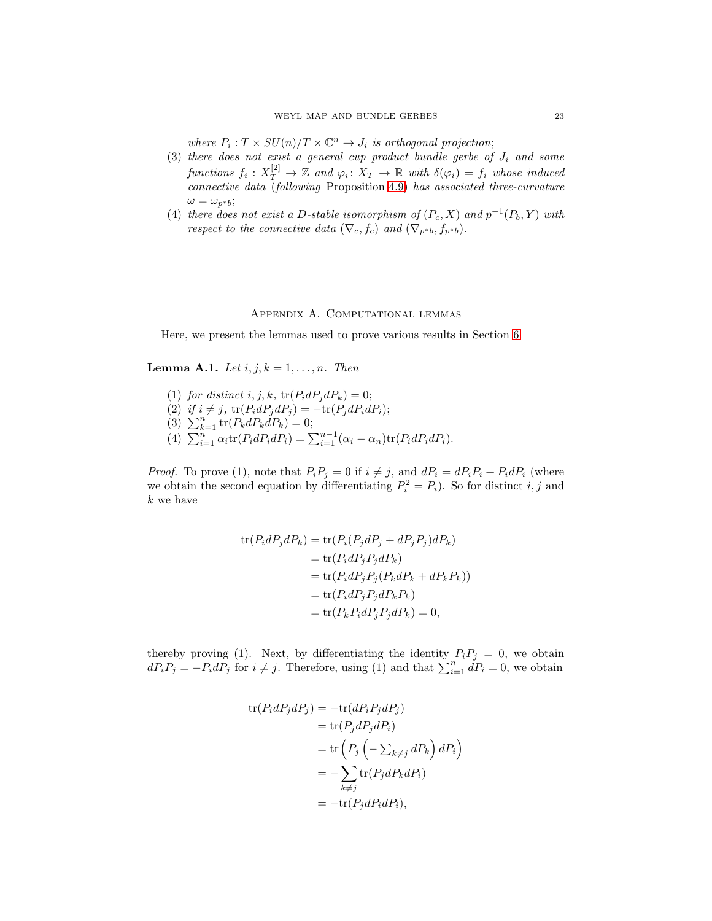where  $P_i: T \times SU(n)/T \times \mathbb{C}^n \to J_i$  is orthogonal projection;

- (3) there does not exist a general cup product bundle gerbe of  $J_i$  and some functions  $f_i: X_T^{[2]} \to \mathbb{Z}$  and  $\varphi_i: X_T \to \mathbb{R}$  with  $\delta(\varphi_i) = f_i$  whose induced connective data (following Proposition [4.9\)](#page-10-3) has associated three-curvature  $\omega = \omega_{n^*b};$
- (4) there does not exist a D-stable isomorphism of  $(P_c, X)$  and  $p^{-1}(P_b, Y)$  with respect to the connective data ( $\nabla_c, f_c$ ) and ( $\nabla_{p^*b}, f_{p^*b}$ ).

# Appendix A. Computational lemmas

<span id="page-22-0"></span>Here, we present the lemmas used to prove various results in Section [6.](#page-18-0)

<span id="page-22-1"></span>**Lemma A.1.** Let  $i, j, k = 1, \ldots, n$ . Then

(1) for distinct i, j, k,  $tr(P_i dP_j dP_k) = 0;$ (2) if  $i \neq j$ ,  $\text{tr}(P_i dP_j dP_j) = -\text{tr}(P_j dP_i dP_i);$ (3)  $\sum_{k=1}^{n} \text{tr}(P_k dP_k dP_k) = 0;$ (4)  $\sum_{i=1}^{n} \alpha_i \text{tr}(P_i dP_i dP_i) = \sum_{i=1}^{n-1} (\alpha_i - \alpha_n) \text{tr}(P_i dP_i dP_i).$ 

*Proof.* To prove (1), note that  $P_i P_j = 0$  if  $i \neq j$ , and  $dP_i = dP_i P_i + P_i dP_i$  (where we obtain the second equation by differentiating  $P_i^2 = P_i$ ). So for distinct i, j and  $k$  we have

$$
\text{tr}(P_i dP_j dP_k) = \text{tr}(P_i (P_j dP_j + dP_j P_j) dP_k)
$$
  
= 
$$
\text{tr}(P_i dP_j P_j dP_k)
$$
  
= 
$$
\text{tr}(P_i dP_j P_j (P_k dP_k + dP_k P_k))
$$
  
= 
$$
\text{tr}(P_i dP_j P_j dP_k P_k)
$$
  
= 
$$
\text{tr}(P_k P_i dP_j P_j dP_k) = 0,
$$

thereby proving (1). Next, by differentiating the identity  $P_iP_j = 0$ , we obtain  $dP_iP_j = -P_idP_j$  for  $i \neq j$ . Therefore, using (1) and that  $\sum_{i=1}^{n} dP_i = 0$ , we obtain

$$
\begin{aligned} \text{tr}(P_i dP_j dP_j) &= -\text{tr}(dP_i P_j dP_j) \\ &= \text{tr}(P_j dP_j dP_i) \\ &= \text{tr}\left(P_j \left(-\sum_{k \neq j} dP_k\right) dP_i\right) \\ &= -\sum_{k \neq j} \text{tr}(P_j dP_k dP_i) \\ &= -\text{tr}(P_j dP_i dP_i), \end{aligned}
$$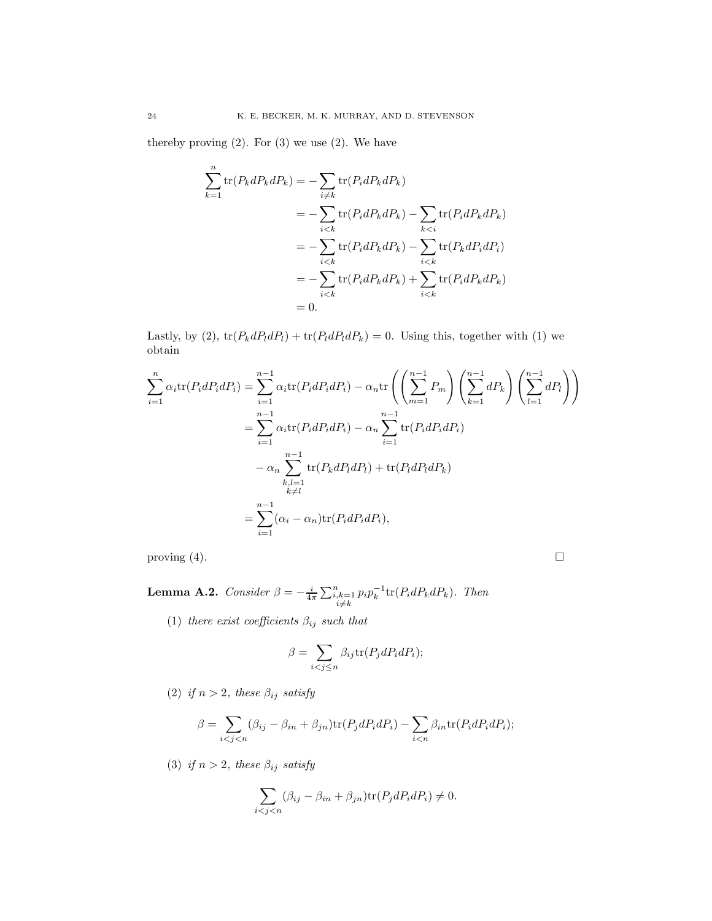thereby proving  $(2)$ . For  $(3)$  we use  $(2)$ . We have

$$
\sum_{k=1}^{n} \text{tr}(P_k dP_k dP_k) = -\sum_{i \neq k} \text{tr}(P_i dP_k dP_k)
$$
  
= 
$$
-\sum_{i < k} \text{tr}(P_i dP_k dP_k) - \sum_{k < i} \text{tr}(P_i dP_k dP_k)
$$
  
= 
$$
-\sum_{i < k} \text{tr}(P_i dP_k dP_k) - \sum_{i < k} \text{tr}(P_k dP_i dP_i)
$$
  
= 
$$
-\sum_{i < k} \text{tr}(P_i dP_k dP_k) + \sum_{i < k} \text{tr}(P_i dP_k dP_k)
$$
  
= 0.

Lastly, by (2),  $\text{tr}(P_k dP_l dP_l) + \text{tr}(P_l dP_l dP_k) = 0$ . Using this, together with (1) we obtain

$$
\sum_{i=1}^{n} \alpha_i \text{tr}(P_i dP_i dP_i) = \sum_{i=1}^{n-1} \alpha_i \text{tr}(P_i dP_i dP_i) - \alpha_n \text{tr}\left(\left(\sum_{m=1}^{n-1} P_m\right) \left(\sum_{k=1}^{n-1} dP_k\right) \left(\sum_{l=1}^{n-1} dP_l\right)\right)
$$

$$
= \sum_{i=1}^{n-1} \alpha_i \text{tr}(P_i dP_i dP_i) - \alpha_n \sum_{i=1}^{n-1} \text{tr}(P_i dP_i dP_i)
$$

$$
- \alpha_n \sum_{\substack{k,l=1 \ k \neq l}}^{n-1} \text{tr}(P_k dP_l dP_l) + \text{tr}(P_l dP_l dP_k)
$$

$$
= \sum_{i=1}^{n-1} (\alpha_i - \alpha_n) \text{tr}(P_i dP_i dP_i),
$$

proving  $(4)$ .

<span id="page-23-0"></span>**Lemma A.2.** Consider  $\beta = -\frac{i}{4\pi} \sum_{\substack{i,k=1 \ i \neq k}}^{n} p_i p_k^{-1} \text{tr}(P_i dP_k dP_k)$ . Then

(1) there exist coefficients  $\beta_{ij}$  such that

$$
\beta = \sum_{i < j \le n} \beta_{ij} \text{tr}(P_j dP_i dP_i);
$$

(2) if  $n > 2$ , these  $\beta_{ij}$  satisfy

$$
\beta = \sum_{i < j < n} (\beta_{ij} - \beta_{in} + \beta_{jn}) \text{tr}(P_j dP_i dP_i) - \sum_{i < n} \beta_{in} \text{tr}(P_i dP_i dP_i);
$$

(3) if  $n > 2$ , these  $\beta_{ij}$  satisfy

$$
\sum_{i
$$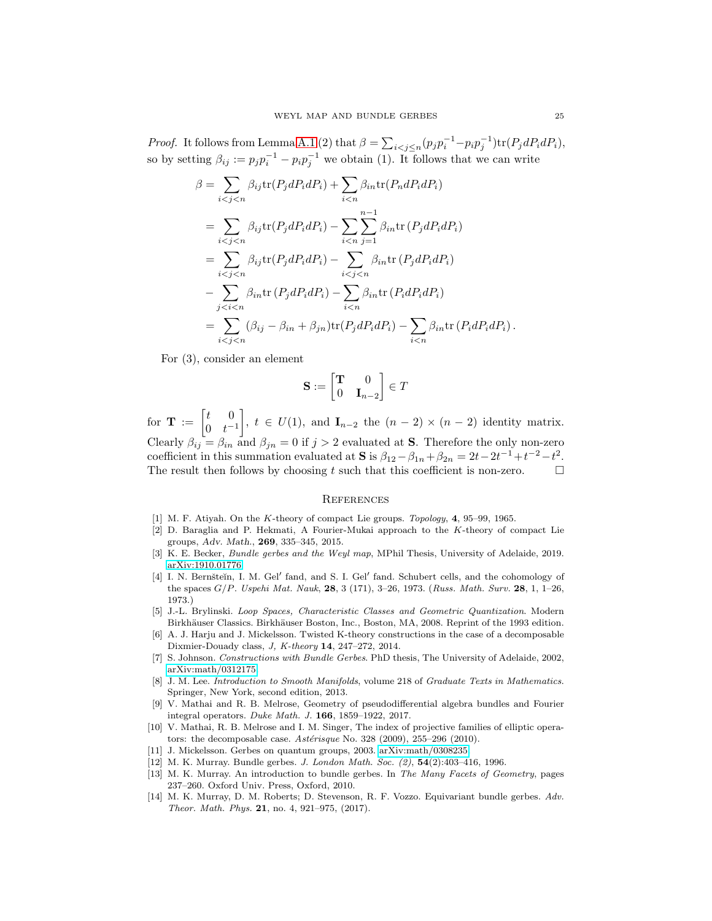*Proof.* It follows from Lemma [A.1](#page-22-1) (2) that  $\beta = \sum_{i < j \le n} (p_j p_i^{-1} - p_i p_j^{-1}) \text{tr}(P_j dP_i dP_i)$ , so by setting  $\beta_{ij} := p_j p_i^{-1} - p_i p_j^{-1}$  we obtain (1). It follows that we can write

$$
\beta = \sum_{i < j < n} \beta_{ij} \text{tr}(P_j dP_i dP_i) + \sum_{i < n} \beta_{in} \text{tr}(P_n dP_i dP_i)
$$
\n
$$
= \sum_{i < j < n} \beta_{ij} \text{tr}(P_j dP_i dP_i) - \sum_{i < n} \sum_{j=1}^{n-1} \beta_{in} \text{tr}(P_j dP_i dP_i)
$$
\n
$$
= \sum_{i < j < n} \beta_{ij} \text{tr}(P_j dP_i dP_i) - \sum_{i < j < n} \beta_{in} \text{tr}(P_j dP_i dP_i)
$$
\n
$$
- \sum_{j < i < n} \beta_{in} \text{tr}(P_j dP_i dP_i) - \sum_{i < n} \beta_{in} \text{tr}(P_i dP_i dP_i)
$$
\n
$$
= \sum_{i < j < n} (\beta_{ij} - \beta_{in} + \beta_{jn}) \text{tr}(P_j dP_i dP_i) - \sum_{i < n} \beta_{in} \text{tr}(P_i dP_i dP_i).
$$

For (3), consider an element

$$
\mathbf{S} := \begin{bmatrix} \mathbf{T} & 0 \\ 0 & \mathbf{I}_{n-2} \end{bmatrix} \in T
$$

for  $\mathbf{T} := \begin{bmatrix} t & 0 \\ 0 & t \end{bmatrix}$ 0  $t^{-1}$ ,  $t \in U(1)$ , and  $\mathbf{I}_{n-2}$  the  $(n-2) \times (n-2)$  identity matrix. Clearly  $\beta_{ij} = \beta_{in}$  and  $\beta_{jn} = 0$  if  $j > 2$  evaluated at **S**. Therefore the only non-zero coefficient in this summation evaluated at **S** is  $\beta_{12} - \beta_{1n} + \beta_{2n} = 2t - 2t^{-1} + t^{-2} - t^2$ . The result then follows by choosing  $t$  such that this coefficient is non-zero.

#### <span id="page-24-0"></span>**REFERENCES**

- <span id="page-24-8"></span><span id="page-24-4"></span>[1] M. F. Atiyah. On the K-theory of compact Lie groups. Topology, 4, 95-99, 1965.
- [2] D. Baraglia and P. Hekmati, A Fourier-Mukai approach to the K-theory of compact Lie groups, Adv. Math., 269, 335–345, 2015.
- <span id="page-24-12"></span>[3] K. E. Becker, *Bundle gerbes and the Weyl map*, MPhil Thesis, University of Adelaide, 2019. [arXiv:1910.01776.](http://arxiv.org/abs/1910.01776)
- <span id="page-24-2"></span>[4] I. N. Bernšteĭn, I. M. Gel' fand, and S. I. Gel' fand. Schubert cells, and the cohomology of the spaces  $G/P$ . Uspehi Mat. Nauk, 28, 3 (171), 3-26, 1973. (Russ. Math. Surv. 28, 1, 1-26, 1973.)
- <span id="page-24-5"></span>[5] J.-L. Brylinski. Loop Spaces, Characteristic Classes and Geometric Quantization. Modern Birkhäuser Classics. Birkhäuser Boston, Inc., Boston, MA, 2008. Reprint of the 1993 edition.
- <span id="page-24-7"></span>[6] A. J. Harju and J. Mickelsson. Twisted K-theory constructions in the case of a decomposable Dixmier-Douady class, J, K-theory 14, 247–272, 2014.
- <span id="page-24-3"></span>[7] S. Johnson. Constructions with Bundle Gerbes. PhD thesis, The University of Adelaide, 2002, [arXiv:math/0312175.](http://arxiv.org/abs/math/0312175)
- <span id="page-24-14"></span>[8] J. M. Lee. *Introduction to Smooth Manifolds*, volume 218 of *Graduate Texts in Mathematics*. Springer, New York, second edition, 2013.
- <span id="page-24-9"></span>[9] V. Mathai and R. B. Melrose, Geometry of pseudodifferential algebra bundles and Fourier integral operators. Duke Math. J. 166, 1859–1922, 2017.
- <span id="page-24-6"></span>[10] V. Mathai, R. B. Melrose and I. M. Singer, The index of projective families of elliptic operators: the decomposable case. Astérisque No. 328 (2009), 255–296 (2010).
- <span id="page-24-10"></span><span id="page-24-1"></span>[11] J. Mickelsson. Gerbes on quantum groups, 2003. [arXiv:math/0308235.](http://arxiv.org/abs/math/0308235)
- <span id="page-24-11"></span>[12] M. K. Murray. Bundle gerbes. J. London Math. Soc. (2), **54**(2):403-416, 1996.
- [13] M. K. Murray. An introduction to bundle gerbes. In The Many Facets of Geometry, pages 237–260. Oxford Univ. Press, Oxford, 2010.
- <span id="page-24-13"></span>[14] M. K. Murray, D. M. Roberts; D. Stevenson, R. F. Vozzo. Equivariant bundle gerbes. Adv. Theor. Math. Phys. 21, no. 4, 921–975, (2017).